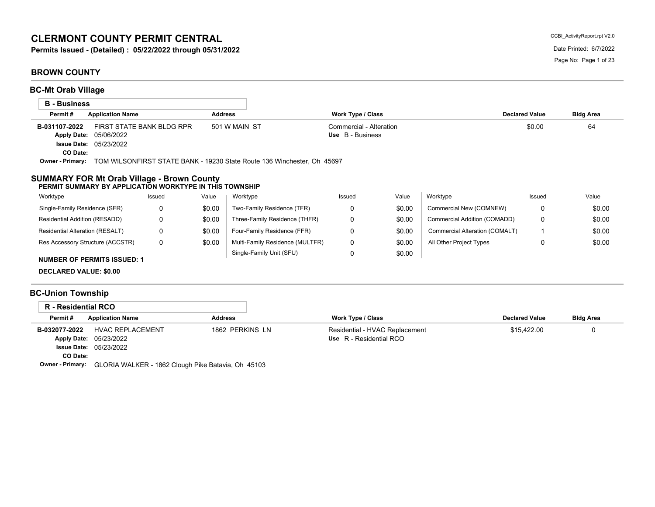# **CLERMONT COUNTY PERMIT CENTRAL**

**Permits Issued - (Detailed) : 05/22/2022 through 05/31/2022** Date Printed: 6/7/2022

### **BROWN COUNTY**

| <b>BC-Mt Orab Village</b> |                                                                                                              |                |                                             |                       |                  |
|---------------------------|--------------------------------------------------------------------------------------------------------------|----------------|---------------------------------------------|-----------------------|------------------|
| <b>B</b> - Business       |                                                                                                              |                |                                             |                       |                  |
| Permit#                   | <b>Application Name</b>                                                                                      | <b>Address</b> | <b>Work Type / Class</b>                    | <b>Declared Value</b> | <b>Bldg Area</b> |
| B-031107-2022<br>CO Date: | FIRST STATE BANK BLDG RPR<br>Apply Date: 05/06/2022<br><b>Issue Date: 05/23/2022</b>                         | 501 W MAIN ST  | Commercial - Alteration<br>Use B - Business | \$0.00                | 64               |
|                           | <b>Owner - Primary:</b> TOM WILSONFIRST STATE BANK - 19230 State Route 136 Winchester, Oh 45697              |                |                                             |                       |                  |
|                           | <b>SUMMARY FOR Mt Orab Village - Brown County</b><br>PERMIT SUMMARY BY APPLICATION WORKTYPE IN THIS TOWNSHIP |                |                                             |                       |                  |

| Worktype                           | Issued | Value  | Worktype                        | Issued | Value  | Worktype                       | Issued | Value  |
|------------------------------------|--------|--------|---------------------------------|--------|--------|--------------------------------|--------|--------|
| Single-Family Residence (SFR)      |        | \$0.00 | Two-Family Residence (TFR)      |        | \$0.00 | Commercial New (COMNEW)        |        | \$0.00 |
| Residential Addition (RESADD)      |        | \$0.00 | Three-Family Residence (THFR)   |        | \$0.00 | Commercial Addition (COMADD)   |        | \$0.00 |
| Residential Alteration (RESALT)    |        | \$0.00 | Four-Family Residence (FFR)     |        | \$0.00 | Commercial Alteration (COMALT) |        | \$0.00 |
| Res Accessory Structure (ACCSTR)   |        | \$0.00 | Multi-Family Residence (MULTFR) |        | \$0.00 | All Other Project Types        |        | \$0.00 |
| <b>NUMBER OF PERMITS ISSUED: 1</b> |        |        | Single-Family Unit (SFU)        |        | \$0.00 |                                |        |        |

**DECLARED VALUE: \$0.00**

# **BC-Union Township**

| R - Residential RCO     |                                                    |                 |                                |                       |                  |
|-------------------------|----------------------------------------------------|-----------------|--------------------------------|-----------------------|------------------|
| Permit#                 | <b>Application Name</b>                            | <b>Address</b>  | <b>Work Type / Class</b>       | <b>Declared Value</b> | <b>Bldg Area</b> |
| B-032077-2022           | HVAC REPLACEMENT                                   | 1862 PERKINS LN | Residential - HVAC Replacement | \$15.422.00           |                  |
|                         | <b>Apply Date: 05/23/2022</b>                      |                 | Use R - Residential RCO        |                       |                  |
|                         | <b>Issue Date: 05/23/2022</b>                      |                 |                                |                       |                  |
| CO Date:                |                                                    |                 |                                |                       |                  |
| <b>Owner - Primary:</b> | GLORIA WALKER - 1862 Clough Pike Batavia, Oh 45103 |                 |                                |                       |                  |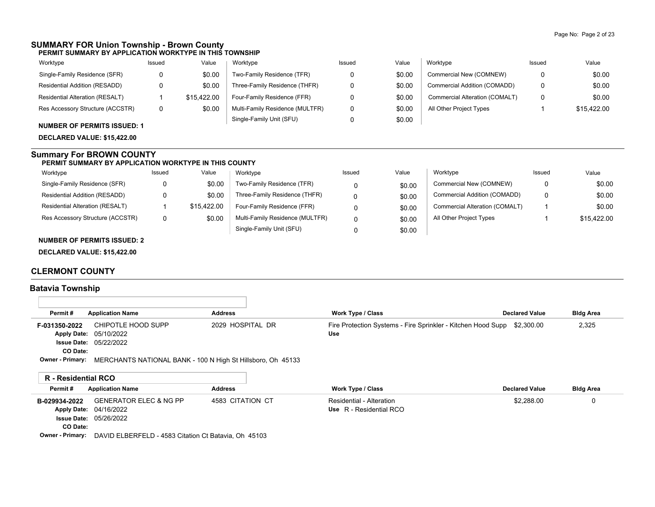#### **SUMMARY FOR Union Township - Brown County PERMIT SUMMARY BY APPLICATION WORKTYPE IN THIS TOWNSHIP**

| Worktype                           | Issued | Value       | Worktype                        | Issued | Value  | Worktype                       | Issued | Value       |
|------------------------------------|--------|-------------|---------------------------------|--------|--------|--------------------------------|--------|-------------|
| Single-Family Residence (SFR)      |        | \$0.00      | Two-Family Residence (TFR)      |        | \$0.00 | Commercial New (COMNEW)        | 0      | \$0.00      |
| Residential Addition (RESADD)      |        | \$0.00      | Three-Family Residence (THFR)   |        | \$0.00 | Commercial Addition (COMADD)   | 0      | \$0.00      |
| Residential Alteration (RESALT)    |        | \$15.422.00 | Four-Family Residence (FFR)     |        | \$0.00 | Commercial Alteration (COMALT) | 0      | \$0.00      |
| Res Accessory Structure (ACCSTR)   | 0      | \$0.00      | Multi-Family Residence (MULTFR) |        | \$0.00 | All Other Project Types        |        | \$15,422.00 |
| <b>NUMBER OF PERMITS ISSUED: 1</b> |        |             | Single-Family Unit (SFU)        |        | \$0.00 |                                |        |             |

**DECLARED VALUE: \$15,422.00**

#### **Summary For BROWN COUNTY**

#### **PERMIT SUMMARY BY APPLICATION WORKTYPE IN THIS COUNTY**

| Worktype                         | Issued | Value       | Worktype                        | Issued | Value  | Worktype                       | Issued | Value       |
|----------------------------------|--------|-------------|---------------------------------|--------|--------|--------------------------------|--------|-------------|
| Single-Family Residence (SFR)    |        | \$0.00      | Two-Family Residence (TFR)      |        | \$0.00 | Commercial New (COMNEW)        | 0      | \$0.00      |
| Residential Addition (RESADD)    |        | \$0.00      | Three-Family Residence (THFR)   |        | \$0.00 | Commercial Addition (COMADD)   | 0      | \$0.00      |
| Residential Alteration (RESALT)  |        | \$15.422.00 | Four-Family Residence (FFR)     |        | \$0.00 | Commercial Alteration (COMALT) |        | \$0.00      |
| Res Accessory Structure (ACCSTR) |        | \$0.00      | Multi-Family Residence (MULTFR) |        | \$0.00 | All Other Project Types        |        | \$15.422.00 |
|                                  |        |             | Single-Family Unit (SFU)        |        | \$0.00 |                                |        |             |

#### **NUMBER OF PERMITS ISSUED: 2**

**DECLARED VALUE: \$15,422.00**

#### **CLERMONT COUNTY**

### **Batavia Township**

л

| Permit#                    | <b>Application Name</b>                                     | <b>Address</b>   | <b>Work Type / Class</b>                                            | <b>Declared Value</b> | <b>Bldg Area</b> |
|----------------------------|-------------------------------------------------------------|------------------|---------------------------------------------------------------------|-----------------------|------------------|
| F-031350-2022              | CHIPOTLE HOOD SUPP<br>Apply Date: 05/10/2022                | 2029 HOSPITAL DR | Fire Protection Systems - Fire Sprinkler - Kitchen Hood Supp<br>Use | \$2,300.00            | 2,325            |
| CO Date:                   | <b>Issue Date: 05/22/2022</b>                               |                  |                                                                     |                       |                  |
| <b>Owner - Primary:</b>    | MERCHANTS NATIONAL BANK - 100 N High St Hillsboro, Oh 45133 |                  |                                                                     |                       |                  |
| <b>R</b> - Residential RCO |                                                             |                  |                                                                     |                       |                  |
| Permit#                    | <b>Application Name</b>                                     | <b>Address</b>   | <b>Work Type / Class</b>                                            | <b>Declared Value</b> | <b>Bldg Area</b> |

| B-029934-2022 | GENERATOR ELEC & NG PP        | 4583 CITATION CT | Residential - Alteration | \$2,288.00 |  |
|---------------|-------------------------------|------------------|--------------------------|------------|--|
|               | <b>Apply Date: 04/16/2022</b> |                  | Use R - Residential RCO  |            |  |
|               | <b>Issue Date: 05/26/2022</b> |                  |                          |            |  |
| CO Date:      |                               |                  |                          |            |  |
| ___           |                               |                  |                          |            |  |

**Owner - Primary:** DAVID ELBERFELD - 4583 Citation Ct Batavia, Oh 45103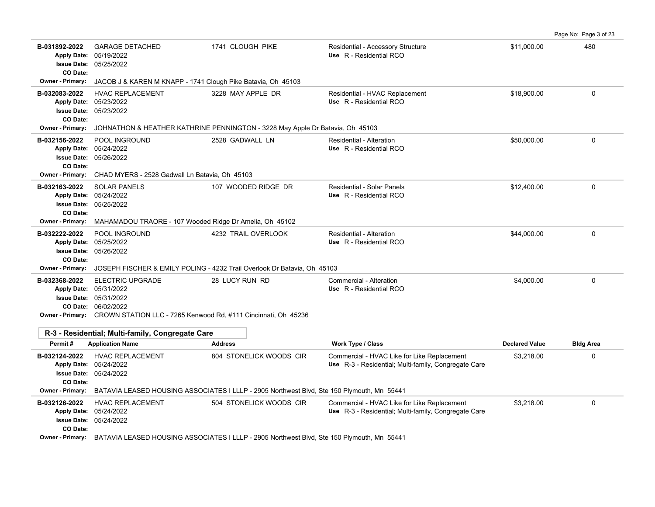|                                                                       |                                                                                                                                                                                              |                                                                                            |                                                                                                     |                       | Page No: Page 3 of 23 |
|-----------------------------------------------------------------------|----------------------------------------------------------------------------------------------------------------------------------------------------------------------------------------------|--------------------------------------------------------------------------------------------|-----------------------------------------------------------------------------------------------------|-----------------------|-----------------------|
| B-031892-2022<br><b>Issue Date:</b><br>CO Date:                       | <b>GARAGE DETACHED</b><br>Apply Date: 05/19/2022<br>05/25/2022                                                                                                                               | 1741 CLOUGH PIKE                                                                           | Residential - Accessory Structure<br>Use R - Residential RCO                                        | \$11,000.00           | 480                   |
| <b>Owner - Primary:</b>                                               | JACOB J & KAREN M KNAPP - 1741 Clough Pike Batavia, Oh 45103                                                                                                                                 |                                                                                            |                                                                                                     |                       |                       |
| B-032083-2022<br><b>Apply Date:</b><br><b>Issue Date:</b><br>CO Date: | <b>HVAC REPLACEMENT</b><br>05/23/2022<br>05/23/2022                                                                                                                                          | 3228 MAY APPLE DR                                                                          | Residential - HVAC Replacement<br>Use R - Residential RCO                                           | \$18,900.00           | $\Omega$              |
| <b>Owner - Primary:</b>                                               |                                                                                                                                                                                              | JOHNATHON & HEATHER KATHRINE PENNINGTON - 3228 May Apple Dr Batavia, Oh 45103              |                                                                                                     |                       |                       |
| B-032156-2022<br>CO Date:                                             | POOL INGROUND<br>Apply Date: 05/24/2022<br><b>Issue Date: 05/26/2022</b>                                                                                                                     | 2528 GADWALL LN                                                                            | Residential - Alteration<br>Use R - Residential RCO                                                 | \$50,000.00           | $\mathbf 0$           |
| <b>Owner - Primary:</b>                                               | CHAD MYERS - 2528 Gadwall Ln Batavia, Oh 45103                                                                                                                                               |                                                                                            |                                                                                                     |                       |                       |
| B-032163-2022<br><b>Apply Date:</b><br><b>Issue Date:</b><br>CO Date: | <b>SOLAR PANELS</b><br>05/24/2022<br>05/25/2022                                                                                                                                              | 107 WOODED RIDGE DR                                                                        | <b>Residential - Solar Panels</b><br>Use R - Residential RCO                                        | \$12,400.00           | $\mathbf 0$           |
| <b>Owner - Primary:</b>                                               | MAHAMADOU TRAORE - 107 Wooded Ridge Dr Amelia, Oh 45102                                                                                                                                      |                                                                                            |                                                                                                     |                       |                       |
| B-032222-2022<br><b>Issue Date:</b><br>CO Date:                       | POOL INGROUND<br>Apply Date: 05/25/2022<br>05/26/2022                                                                                                                                        | 4232 TRAIL OVERLOOK                                                                        | <b>Residential - Alteration</b><br>Use R - Residential RCO                                          | \$44,000.00           | 0                     |
| <b>Owner - Primary:</b>                                               |                                                                                                                                                                                              | JOSEPH FISCHER & EMILY POLING - 4232 Trail Overlook Dr Batavia, Oh 45103                   |                                                                                                     |                       |                       |
| B-032368-2022                                                         | <b>ELECTRIC UPGRADE</b><br>Apply Date: 05/31/2022<br><b>Issue Date: 05/31/2022</b><br>CO Date: 06/02/2022<br>Owner - Primary: CROWN STATION LLC - 7265 Kenwood Rd, #111 Cincinnati, Oh 45236 | 28 LUCY RUN RD                                                                             | Commercial - Alteration<br>Use R - Residential RCO                                                  | \$4,000.00            | $\mathbf 0$           |
|                                                                       | R-3 - Residential; Multi-family, Congregate Care                                                                                                                                             |                                                                                            |                                                                                                     |                       |                       |
| Permit#                                                               | <b>Application Name</b>                                                                                                                                                                      | <b>Address</b>                                                                             | <b>Work Type / Class</b>                                                                            | <b>Declared Value</b> | <b>Bldg Area</b>      |
| B-032124-2022<br><b>Issue Date:</b><br>CO Date:                       | <b>HVAC REPLACEMENT</b><br>Apply Date: 05/24/2022<br>05/24/2022                                                                                                                              | 804 STONELICK WOODS CIR                                                                    | Commercial - HVAC Like for Like Replacement<br>Use R-3 - Residential; Multi-family, Congregate Care | \$3,218.00            | 0                     |
| <b>Owner - Primary:</b>                                               |                                                                                                                                                                                              | BATAVIA LEASED HOUSING ASSOCIATES I LLLP - 2905 Northwest Blvd, Ste 150 Plymouth, Mn 55441 |                                                                                                     |                       |                       |
| B-032126-2022<br><b>Issue Date:</b><br>CO Date:                       | <b>HVAC REPLACEMENT</b><br>Apply Date: 05/24/2022<br>05/24/2022                                                                                                                              | 504 STONELICK WOODS CIR                                                                    | Commercial - HVAC Like for Like Replacement<br>Use R-3 - Residential; Multi-family, Congregate Care | \$3,218.00            | $\Omega$              |
|                                                                       | Owner - Primary: BATAVIA LEASED HOUSING ASSOCIATES I LLLP - 2905 Northwest Blvd, Ste 150 Plymouth, Mn 55441                                                                                  |                                                                                            |                                                                                                     |                       |                       |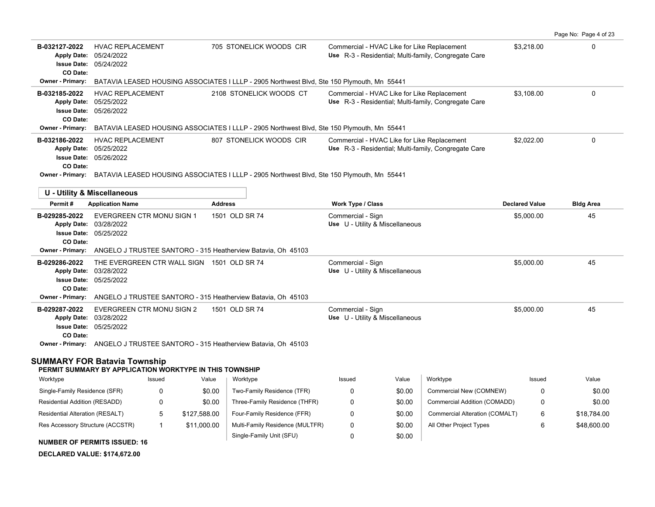|                                                                                                  |                                                                        |                |                                                                                            |                   |                                             |                                                             |                       | Page No: Page 4 of 23 |
|--------------------------------------------------------------------------------------------------|------------------------------------------------------------------------|----------------|--------------------------------------------------------------------------------------------|-------------------|---------------------------------------------|-------------------------------------------------------------|-----------------------|-----------------------|
| B-032127-2022<br><b>Apply Date:</b><br><b>Issue Date:</b><br>CO Date:                            | <b>HVAC REPLACEMENT</b><br>05/24/2022<br>05/24/2022                    |                | 705 STONELICK WOODS CIR                                                                    |                   | Commercial - HVAC Like for Like Replacement | Use R-3 - Residential: Multi-family, Congregate Care        | \$3,218.00            | $\Omega$              |
| <b>Owner - Primary:</b>                                                                          |                                                                        |                | BATAVIA LEASED HOUSING ASSOCIATES I LLLP - 2905 Northwest Blvd, Ste 150 Plymouth, Mn 55441 |                   |                                             |                                                             |                       |                       |
| B-032185-2022<br><b>Apply Date:</b><br><b>Issue Date:</b><br>CO Date:                            | <b>HVAC REPLACEMENT</b><br>05/25/2022<br>05/26/2022                    |                | 2108 STONELICK WOODS CT                                                                    |                   | Commercial - HVAC Like for Like Replacement | Use R-3 - Residential; Multi-family, Congregate Care        | \$3.108.00            | $\mathbf{0}$          |
| <b>Owner - Primary:</b>                                                                          |                                                                        |                | BATAVIA LEASED HOUSING ASSOCIATES I LLLP - 2905 Northwest Blvd, Ste 150 Plymouth, Mn 55441 |                   |                                             |                                                             |                       |                       |
| B-032186-2022<br><b>Apply Date:</b><br><b>Issue Date:</b><br>CO Date:                            | <b>HVAC REPLACEMENT</b><br>05/25/2022<br>05/26/2022                    |                | 807 STONELICK WOODS CIR                                                                    |                   | Commercial - HVAC Like for Like Replacement | <b>Use</b> R-3 - Residential; Multi-family, Congregate Care | \$2,022.00            | $\mathbf 0$           |
| Owner - Primary:                                                                                 |                                                                        |                | BATAVIA LEASED HOUSING ASSOCIATES I LLLP - 2905 Northwest Blvd, Ste 150 Plymouth, Mn 55441 |                   |                                             |                                                             |                       |                       |
| <b>U - Utility &amp; Miscellaneous</b>                                                           |                                                                        |                |                                                                                            |                   |                                             |                                                             |                       |                       |
| Permit#                                                                                          | <b>Application Name</b>                                                | <b>Address</b> |                                                                                            | Work Type / Class |                                             |                                                             | <b>Declared Value</b> | <b>Bldg Area</b>      |
| B-029285-2022<br><b>Apply Date:</b><br><b>Issue Date:</b><br>CO Date:                            | EVERGREEN CTR MONU SIGN 1<br>03/28/2022<br>05/25/2022                  |                | 1501 OLD SR 74                                                                             | Commercial - Sign | Use U - Utility & Miscellaneous             |                                                             | \$5,000.00            | 45                    |
| <b>Owner - Primary:</b>                                                                          |                                                                        |                | ANGELO J TRUSTEE SANTORO - 315 Heatherview Batavia, Oh 45103                               |                   |                                             |                                                             |                       |                       |
| B-029286-2022<br><b>Apply Date:</b><br><b>Issue Date:</b><br>CO Date:<br><b>Owner - Primary:</b> | THE EVERGREEN CTR WALL SIGN 1501 OLD SR 74<br>03/28/2022<br>05/25/2022 |                | ANGELO J TRUSTEE SANTORO - 315 Heatherview Batavia, Oh 45103                               | Commercial - Sign | Use U - Utility & Miscellaneous             |                                                             | \$5.000.00            | 45                    |
| B-029287-2022<br><b>Apply Date:</b><br><b>Issue Date: 05/25/2022</b><br>CO Date:                 | <b>EVERGREEN CTR MONU SIGN 2</b><br>03/28/2022                         |                | 1501 OLD SR 74                                                                             | Commercial - Sign | Use U - Utility & Miscellaneous             |                                                             | \$5,000.00            | 45                    |
|                                                                                                  |                                                                        |                | Owner - Primary: ANGELO J TRUSTEE SANTORO - 315 Heatherview Batavia, Oh 45103              |                   |                                             |                                                             |                       |                       |
| SUMMARY FOR Batavia Township                                                                     | PERMIT SUMMARY BY APPLICATION WORKTYPE IN THIS TOWNSHIP                |                |                                                                                            |                   |                                             |                                                             |                       |                       |
| Worktype                                                                                         | Issued                                                                 | Value          | Worktype                                                                                   | Issued            | Value                                       | Worktype                                                    | Issued                | Value                 |
| Single-Family Residence (SFR)                                                                    | 0                                                                      | \$0.00         | Two-Family Residence (TFR)                                                                 | $\Omega$          | \$0.00                                      | Commercial New (COMNEW)                                     | 0                     | \$0.00                |
| Residential Addition (RESADD)                                                                    | 0                                                                      | \$0.00         | Three-Family Residence (THFR)                                                              | 0                 | \$0.00                                      | Commercial Addition (COMADD)                                | 0                     | \$0.00                |
| Residential Alteration (RESALT)                                                                  | 5                                                                      | \$127,588.00   | Four-Family Residence (FFR)                                                                | 0                 | \$0.00                                      | Commercial Alteration (COMALT)                              | 6                     | \$18,784.00           |
| Res Accessory Structure (ACCSTR)<br><b>NUMBER OF PERMITS ISSUED: 16</b>                          | $\mathbf{1}$                                                           | \$11,000.00    | Multi-Family Residence (MULTFR)<br>Single-Family Unit (SFU)                                | 0<br>$\mathbf 0$  | \$0.00<br>\$0.00                            | All Other Project Types                                     | 6                     | \$48,600.00           |
| DECLARED VALUE: \$174.672.00                                                                     |                                                                        |                |                                                                                            |                   |                                             |                                                             |                       |                       |
|                                                                                                  |                                                                        |                |                                                                                            |                   |                                             |                                                             |                       |                       |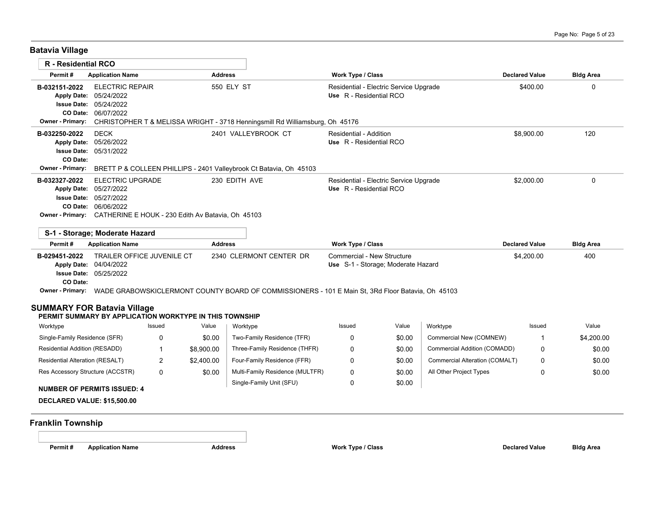**Batavia Village**

| <b>R</b> - Residential RCO    |                                                                                                                                                                                                                    |                         |                            |                                                                   |       |                         |                       |                  |
|-------------------------------|--------------------------------------------------------------------------------------------------------------------------------------------------------------------------------------------------------------------|-------------------------|----------------------------|-------------------------------------------------------------------|-------|-------------------------|-----------------------|------------------|
| Permit#                       | <b>Application Name</b>                                                                                                                                                                                            | <b>Address</b>          |                            | Work Type / Class                                                 |       |                         | <b>Declared Value</b> | <b>Bldg Area</b> |
| B-032151-2022                 | <b>ELECTRIC REPAIR</b><br>Apply Date: 05/24/2022<br><b>Issue Date: 05/24/2022</b><br>CO Date: 06/07/2022                                                                                                           | 550 ELY ST              |                            | Residential - Electric Service Upgrade<br>Use R - Residential RCO |       |                         | \$400.00              | 0                |
| <b>Owner - Primary:</b>       | CHRISTOPHER T & MELISSA WRIGHT - 3718 Henningsmill Rd Williamsburg, Oh 45176                                                                                                                                       |                         |                            |                                                                   |       |                         |                       |                  |
| B-032250-2022<br>CO Date:     | <b>DECK</b><br>Apply Date: 05/26/2022<br><b>Issue Date: 05/31/2022</b>                                                                                                                                             | 2401 VALLEYBROOK CT     |                            | <b>Residential - Addition</b><br>Use R - Residential RCO          |       |                         | \$8,900.00            | 120              |
| <b>Owner - Primary:</b>       | BRETT P & COLLEEN PHILLIPS - 2401 Valleybrook Ct Batavia, Oh 45103                                                                                                                                                 |                         |                            |                                                                   |       |                         |                       |                  |
| B-032327-2022                 | <b>ELECTRIC UPGRADE</b><br>Apply Date: 05/27/2022<br><b>Issue Date: 05/27/2022</b><br>CO Date: 06/06/2022<br>Owner - Primary: CATHERINE E HOUK - 230 Edith Av Batavia, Oh 45103                                    | 230 EDITH AVE           |                            | Residential - Electric Service Upgrade<br>Use R - Residential RCO |       |                         | \$2,000.00            | $\Omega$         |
|                               | S-1 - Storage: Moderate Hazard                                                                                                                                                                                     |                         |                            |                                                                   |       |                         |                       |                  |
| Permit#                       | <b>Application Name</b>                                                                                                                                                                                            | <b>Address</b>          |                            | <b>Work Type / Class</b>                                          |       |                         | <b>Declared Value</b> | <b>Bldg Area</b> |
| B-029451-2022<br>CO Date:     | <b>TRAILER OFFICE JUVENILE CT</b><br>Apply Date: 04/04/2022<br><b>Issue Date: 05/25/2022</b><br>Owner - Primary: WADE GRABOWSKICLERMONT COUNTY BOARD OF COMMISSIONERS - 101 E Main St, 3Rd Floor Batavia, Oh 45103 | 2340 CLERMONT CENTER DR |                            | Commercial - New Structure<br>Use S-1 - Storage: Moderate Hazard  |       |                         | \$4,200.00            | 400              |
|                               |                                                                                                                                                                                                                    |                         |                            |                                                                   |       |                         |                       |                  |
|                               | <b>SUMMARY FOR Batavia Village</b><br>PERMIT SUMMARY BY APPLICATION WORKTYPE IN THIS TOWNSHIP                                                                                                                      |                         |                            |                                                                   |       |                         |                       |                  |
| Worktype                      | Issued                                                                                                                                                                                                             | Value<br>Worktype       |                            | Issued                                                            | Value | Worktype                | Issued                | Value            |
| Single-Family Residence (SFR) | $\Omega$                                                                                                                                                                                                           | \$0.00                  | Two-Family Residence (TFR) | $\Omega$                                                          | ደ0.00 | Commercial New (COMNEW) | -1                    | \$4,200,00       |

| Worktype                                                                                             | Issued | Value      | Worktype                        | <b>Issued</b> | Value  | Worktype                       | <b>Issued</b> | Value      |
|------------------------------------------------------------------------------------------------------|--------|------------|---------------------------------|---------------|--------|--------------------------------|---------------|------------|
| Single-Family Residence (SFR)                                                                        |        | \$0.00     | Two-Family Residence (TFR)      |               | \$0.00 | Commercial New (COMNEW)        |               | \$4,200.00 |
| Residential Addition (RESADD)                                                                        |        | \$8.900.00 | Three-Family Residence (THFR)   |               | \$0.00 | Commercial Addition (COMADD)   |               | \$0.00     |
| Residential Alteration (RESALT)                                                                      |        | \$2,400.00 | Four-Family Residence (FFR)     |               | \$0.00 | Commercial Alteration (COMALT) | 0             | \$0.00     |
| Res Accessory Structure (ACCSTR)                                                                     | 0      | \$0.00     | Multi-Family Residence (MULTFR) |               | \$0.00 | All Other Project Types        |               | \$0.00     |
| $\ddotsc$ . The second of $\ddotsc$ of $\ddotsc$ of $\ddotsc$ of $\ddotsc$ of $\ddotsc$ of $\ddotsc$ |        |            | Single-Family Unit (SFU)        |               | \$0.00 |                                |               |            |

### **NUMBER OF PERMITS ISSUED: 4**

**DECLARED VALUE: \$15,500.00**

# **Franklin Township**

**Permit # Application Name Address Work Type / Class Declared Value Bldg Area**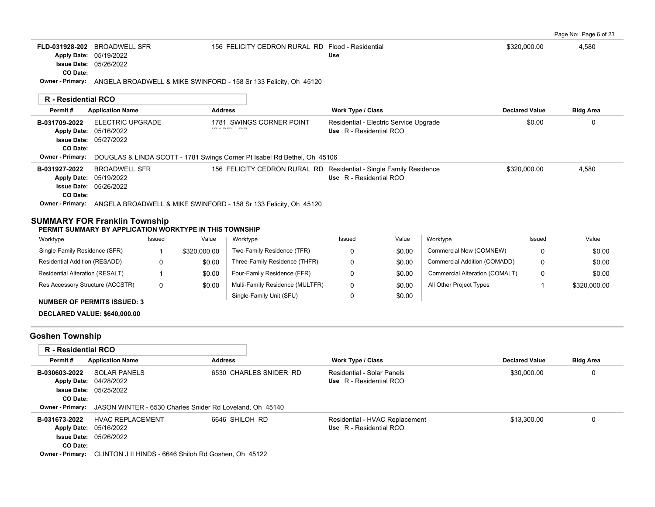|                                                                                                 |                                                          |              |                |                                                                                   |                                                              |                                        |                                       |                       | Page No: Page 6 of 23 |
|-------------------------------------------------------------------------------------------------|----------------------------------------------------------|--------------|----------------|-----------------------------------------------------------------------------------|--------------------------------------------------------------|----------------------------------------|---------------------------------------|-----------------------|-----------------------|
| FLD-031928-202 BROADWELL SFR                                                                    | Apply Date: 05/19/2022<br><b>Issue Date: 05/26/2022</b>  |              |                | 156 FELICITY CEDRON RURAL RD Flood - Residential                                  | Use                                                          |                                        |                                       | \$320,000.00          | 4,580                 |
| CO Date:                                                                                        |                                                          |              |                | Owner - Primary: ANGELA BROADWELL & MIKE SWINFORD - 158 Sr 133 Felicity, Oh 45120 |                                                              |                                        |                                       |                       |                       |
| R - Residential RCO                                                                             |                                                          |              |                |                                                                                   |                                                              |                                        |                                       |                       |                       |
| Permit#                                                                                         | <b>Application Name</b>                                  |              | <b>Address</b> |                                                                                   | Work Type / Class                                            |                                        |                                       | <b>Declared Value</b> | <b>Bldg Area</b>      |
| B-031709-2022<br>Apply Date: 05/16/2022<br>CO Date:                                             | <b>ELECTRIC UPGRADE</b><br><b>Issue Date: 05/27/2022</b> |              |                | 1781 SWINGS CORNER POINT                                                          | Use R - Residential RCO                                      | Residential - Electric Service Upgrade |                                       | \$0.00                | 0                     |
| Owner - Primary:                                                                                |                                                          |              |                | DOUGLAS & LINDA SCOTT - 1781 Swings Corner Pt Isabel Rd Bethel, Oh 45106          |                                                              |                                        |                                       |                       |                       |
| B-031927-2022<br>Apply Date: 05/19/2022<br>CO Date:                                             | <b>BROADWELL SFR</b><br><b>Issue Date: 05/26/2022</b>    |              |                | 156 FELICITY CEDRON RURAL RD Residential - Single Family Residence                | Use R - Residential RCO                                      |                                        |                                       | \$320,000.00          | 4,580                 |
|                                                                                                 |                                                          |              |                | Owner - Primary: ANGELA BROADWELL & MIKE SWINFORD - 158 Sr 133 Felicity, Oh 45120 |                                                              |                                        |                                       |                       |                       |
| <b>SUMMARY FOR Franklin Township</b><br>PERMIT SUMMARY BY APPLICATION WORKTYPE IN THIS TOWNSHIP |                                                          |              |                |                                                                                   |                                                              |                                        |                                       |                       |                       |
| Worktype                                                                                        |                                                          | Issued       | Value          | Worktype                                                                          | Issued                                                       | Value                                  | Worktype                              | Issued                | Value                 |
| Single-Family Residence (SFR)                                                                   |                                                          | -1           | \$320,000.00   | Two-Family Residence (TFR)                                                        | 0                                                            | \$0.00                                 | Commercial New (COMNEW)               | 0                     | \$0.00                |
| Residential Addition (RESADD)                                                                   |                                                          | 0            | \$0.00         | Three-Family Residence (THFR)                                                     | 0                                                            | \$0.00                                 | Commercial Addition (COMADD)          | 0                     | \$0.00                |
| Residential Alteration (RESALT)                                                                 |                                                          | $\mathbf{1}$ | \$0.00         | Four-Family Residence (FFR)                                                       | $\mathbf 0$                                                  | \$0.00                                 | <b>Commercial Alteration (COMALT)</b> | 0                     | \$0.00                |
| Res Accessory Structure (ACCSTR)                                                                |                                                          | $\mathbf{0}$ | \$0.00         | Multi-Family Residence (MULTFR)                                                   | 0                                                            | \$0.00                                 | All Other Project Types               | 1                     | \$320,000.00          |
| <b>NUMBER OF PERMITS ISSUED: 3</b>                                                              |                                                          |              |                | Single-Family Unit (SFU)                                                          | $\Omega$                                                     | \$0.00                                 |                                       |                       |                       |
| <b>DECLARED VALUE: \$640,000.00</b>                                                             |                                                          |              |                |                                                                                   |                                                              |                                        |                                       |                       |                       |
| <b>Goshen Township</b>                                                                          |                                                          |              |                |                                                                                   |                                                              |                                        |                                       |                       |                       |
| R - Residential RCO                                                                             |                                                          |              |                |                                                                                   |                                                              |                                        |                                       |                       |                       |
| Permit#                                                                                         | <b>Application Name</b>                                  |              | <b>Address</b> |                                                                                   | Work Type / Class                                            |                                        |                                       | <b>Declared Value</b> | <b>Bldg Area</b>      |
| B-030603-2022<br>Apply Date: 04/28/2022<br>CO Date:                                             | <b>SOLAR PANELS</b><br>Issue Date: 05/25/2022            |              |                | 6530 CHARLES SNIDER RD                                                            | <b>Residential - Solar Panels</b><br>Use R - Residential RCO |                                        |                                       | \$30,000.00           | 0                     |

|               | <b>Owner - Primary:</b> JASON WINTER - 6530 Charles Snider Rd Loveland, Oh 45140 |                |                                |             |  |
|---------------|----------------------------------------------------------------------------------|----------------|--------------------------------|-------------|--|
| B-031673-2022 | HVAC REPLACEMENT                                                                 | 6646 SHILOH RD | Residential - HVAC Replacement | \$13.300.00 |  |
|               | <b>Apply Date: 05/16/2022</b>                                                    |                | Use R - Residential RCO        |             |  |
|               | <b>Issue Date: 05/26/2022</b>                                                    |                |                                |             |  |
| CO Date:      |                                                                                  |                |                                |             |  |
|               | <b>Owner - Primary:</b> CLINTON J II HINDS - 6646 Shiloh Rd Goshen, Oh 45122     |                |                                |             |  |
|               |                                                                                  |                |                                |             |  |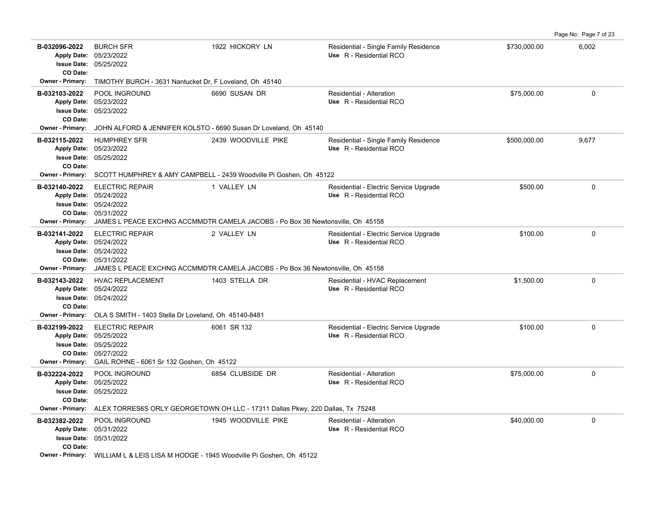|                                                                                       |                                                                                                                                              |                                                                                                                |                                                                   |              | Page No: Page 7 of 23 |
|---------------------------------------------------------------------------------------|----------------------------------------------------------------------------------------------------------------------------------------------|----------------------------------------------------------------------------------------------------------------|-------------------------------------------------------------------|--------------|-----------------------|
| B-032096-2022<br>Apply Date: 05/23/2022<br>CO Date:                                   | <b>BURCH SFR</b><br><b>Issue Date: 05/25/2022</b>                                                                                            | 1922 HICKORY LN                                                                                                | Residential - Single Family Residence<br>Use R - Residential RCO  | \$730,000.00 | 6,002                 |
| <b>Owner - Primary:</b>                                                               | TIMOTHY BURCH - 3631 Nantucket Dr, F Loveland, Oh 45140                                                                                      |                                                                                                                |                                                                   |              |                       |
| B-032103-2022<br>Apply Date: 05/23/2022<br>CO Date:                                   | POOL INGROUND<br><b>Issue Date: 05/23/2022</b>                                                                                               | 6690 SUSAN DR                                                                                                  | Residential - Alteration<br>Use R - Residential RCO               | \$75,000.00  | $\Omega$              |
| <b>Owner - Primary:</b>                                                               |                                                                                                                                              | JOHN ALFORD & JENNIFER KOLSTO - 6690 Susan Dr Loveland, Oh 45140                                               |                                                                   |              |                       |
| B-032115-2022<br>Apply Date: 05/23/2022<br>CO Date:<br><b>Owner - Primary:</b>        | <b>HUMPHREY SFR</b><br><b>Issue Date: 05/25/2022</b>                                                                                         | 2439 WOODVILLE PIKE<br>SCOTT HUMPHREY & AMY CAMPBELL - 2439 Woodville Pi Goshen, Oh 45122                      | Residential - Single Family Residence<br>Use R - Residential RCO  | \$500,000.00 | 9,677                 |
| B-032140-2022<br>Apply Date: 05/24/2022<br><b>Owner - Primary:</b>                    | <b>ELECTRIC REPAIR</b><br>Issue Date: 05/24/2022<br>CO Date: 05/31/2022                                                                      | 1 VALLEY LN<br>JAMES L PEACE EXCHNG ACCMMDTR CAMELA JACOBS - Po Box 36 Newtonsville, Oh 45158                  | Residential - Electric Service Upgrade<br>Use R - Residential RCO | \$500.00     | 0                     |
| B-032141-2022                                                                         | <b>ELECTRIC REPAIR</b><br>Apply Date: 05/24/2022<br><b>Issue Date: 05/24/2022</b><br>CO Date: 05/31/2022                                     | 2 VALLEY LN<br>Owner - Primary: JAMES L PEACE EXCHNG ACCMMDTR CAMELA JACOBS - Po Box 36 Newtonsville, Oh 45158 | Residential - Electric Service Upgrade<br>Use R - Residential RCO | \$100.00     | $\Omega$              |
| B-032143-2022<br>Apply Date: 05/24/2022<br><b>CO Date:</b><br><b>Owner - Primary:</b> | <b>HVAC REPLACEMENT</b><br><b>Issue Date: 05/24/2022</b><br>OLA S SMITH - 1403 Stella Dr Loveland, Oh 45140-8481                             | 1403 STELLA DR                                                                                                 | Residential - HVAC Replacement<br>Use R - Residential RCO         | \$1,500.00   | 0                     |
| B-032199-2022<br>Apply Date: 05/25/2022<br><b>Owner - Primary:</b>                    | <b>ELECTRIC REPAIR</b><br>Issue Date: 05/25/2022<br>CO Date: 05/27/2022<br>GAIL ROHNE - 6061 Sr 132 Goshen, Oh 45122                         | 6061 SR 132                                                                                                    | Residential - Electric Service Upgrade<br>Use R - Residential RCO | \$100.00     | $\Omega$              |
| B-032224-2022<br>Apply Date: 05/25/2022<br>CO Date:<br><b>Owner - Primary:</b>        | POOL INGROUND<br><b>Issue Date: 05/25/2022</b>                                                                                               | 6854 CLUBSIDE DR<br>ALEX TORRES6S ORLY GEORGETOWN OH LLC - 17311 Dallas Pkwy, 220 Dallas, Tx 75248             | Residential - Alteration<br>Use R - Residential RCO               | \$75,000.00  | 0                     |
| B-032382-2022<br>Apply Date: 05/31/2022<br>CO Date:                                   | POOL INGROUND<br><b>Issue Date: 05/31/2022</b><br><b>Owner - Primary:</b> WILLIAM L & LEIS LISA M HODGE - 1945 Woodville Pi Goshen, Oh 45122 | 1945 WOODVILLE PIKE                                                                                            | Residential - Alteration<br>Use R - Residential RCO               | \$40,000.00  | 0                     |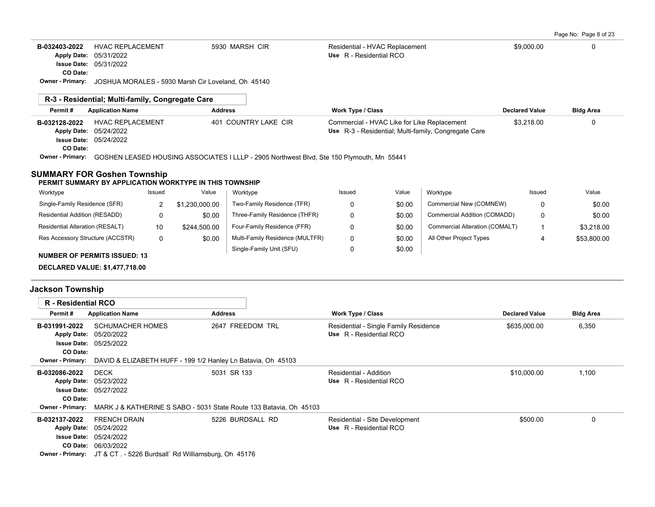|  | Page No: Page 8 of 23 |  |  |  |  |  |
|--|-----------------------|--|--|--|--|--|
|--|-----------------------|--|--|--|--|--|

| B-032403-2022<br><b>Apply Date:</b>                                           | <b>HVAC REPLACEMENT</b><br>05/31/2022<br><b>Issue Date: 05/31/2022</b> | 5930 MARSH CIR       | Residential - HVAC Replacement<br>Use R - Residential RCO                                           | \$9,000.00     |                  |
|-------------------------------------------------------------------------------|------------------------------------------------------------------------|----------------------|-----------------------------------------------------------------------------------------------------|----------------|------------------|
| CO Date:                                                                      |                                                                        |                      |                                                                                                     |                |                  |
| JOSHUA MORALES - 5930 Marsh Cir Loveland, Oh 45140<br><b>Owner - Primary:</b> |                                                                        |                      |                                                                                                     |                |                  |
|                                                                               | R-3 - Residential: Multi-family, Congregate Care                       |                      |                                                                                                     |                |                  |
| Permit#                                                                       | <b>Application Name</b>                                                | <b>Address</b>       | <b>Work Type / Class</b>                                                                            | Declared Value | <b>Bldg Area</b> |
| B-032128-2022<br><b>Apply Date:</b>                                           | <b>HVAC REPLACEMENT</b><br>05/24/2022                                  | 401 COUNTRY LAKE CIR | Commercial - HVAC Like for Like Replacement<br>Use R-3 - Residential: Multi-family, Congregate Care | \$3.218.00     |                  |

05/24/2022 **Issue Date: CO Date:**

**Owner - Primary:** GOSHEN LEASED HOUSING ASSOCIATES I LLLP - 2905 Northwest Blvd, Ste 150 Plymouth, Mn 55441

#### **SUMMARY FOR Goshen Township**

#### **PERMIT SUMMARY BY APPLICATION WORKTYPE IN THIS TOWNSHIP**

| Worktype                            | Issued | Value          | Worktype                        | Issued | Value  | Worktvpe                       | Issued | Value       |
|-------------------------------------|--------|----------------|---------------------------------|--------|--------|--------------------------------|--------|-------------|
| Single-Family Residence (SFR)       |        | \$1.230.000.00 | Two-Family Residence (TFR)      |        | \$0.00 | Commercial New (COMNEW)        |        | \$0.00      |
| Residential Addition (RESADD)       |        | \$0.00         | Three-Family Residence (THFR)   |        | \$0.00 | Commercial Addition (COMADD)   |        | \$0.00      |
| Residential Alteration (RESALT)     | 10     | \$244.500.00   | Four-Family Residence (FFR)     |        | \$0.00 | Commercial Alteration (COMALT) |        | \$3,218,00  |
| Res Accessory Structure (ACCSTR)    |        | \$0.00         | Multi-Family Residence (MULTFR) |        | \$0.00 | All Other Project Types        | 4      | \$53,800.00 |
| <b>NUMBER OF PERMITS ISSUED: 13</b> |        |                | Single-Family Unit (SFU)        |        | \$0.00 |                                |        |             |

**DECLARED VALUE: \$1,477,718.00**

### **Jackson Township**

| <b>R</b> - Residential RCO |                                                                                            |                  |                                       |                       |                  |
|----------------------------|--------------------------------------------------------------------------------------------|------------------|---------------------------------------|-----------------------|------------------|
| Permit#                    | <b>Application Name</b>                                                                    | <b>Address</b>   | <b>Work Type / Class</b>              | <b>Declared Value</b> | <b>Bldg Area</b> |
| B-031991-2022              | <b>SCHUMACHER HOMES</b>                                                                    | 2647 FREEDOM TRL | Residential - Single Family Residence | \$635,000.00          | 6,350            |
|                            | Apply Date: 05/20/2022                                                                     |                  | Use R - Residential RCO               |                       |                  |
|                            | <b>Issue Date: 05/25/2022</b>                                                              |                  |                                       |                       |                  |
| CO Date:                   |                                                                                            |                  |                                       |                       |                  |
| <b>Owner - Primary:</b>    | DAVID & ELIZABETH HUFF - 199 1/2 Hanley Ln Batavia, Oh 45103                               |                  |                                       |                       |                  |
| B-032086-2022              | <b>DECK</b>                                                                                | 5031 SR 133      | Residential - Addition                | \$10,000.00           | 1,100            |
|                            | Apply Date: 05/23/2022                                                                     |                  | Use R - Residential RCO               |                       |                  |
|                            | <b>Issue Date: 05/27/2022</b>                                                              |                  |                                       |                       |                  |
| CO Date:                   |                                                                                            |                  |                                       |                       |                  |
|                            | <b>Owner - Primary:</b> MARK J & KATHERINE S SABO - 5031 State Route 133 Batavia, Oh 45103 |                  |                                       |                       |                  |
| B-032137-2022              | <b>FRENCH DRAIN</b>                                                                        | 5226 BURDSALL RD | Residential - Site Development        | \$500.00              | 0                |
|                            | Apply Date: 05/24/2022                                                                     |                  | Use R - Residential RCO               |                       |                  |
|                            | <b>Issue Date: 05/24/2022</b>                                                              |                  |                                       |                       |                  |
|                            | CO Date: 06/03/2022                                                                        |                  |                                       |                       |                  |
|                            | <b>Owner - Primary:</b> JT & CT . - 5226 Burdsall` Rd Williamsburg, Oh 45176               |                  |                                       |                       |                  |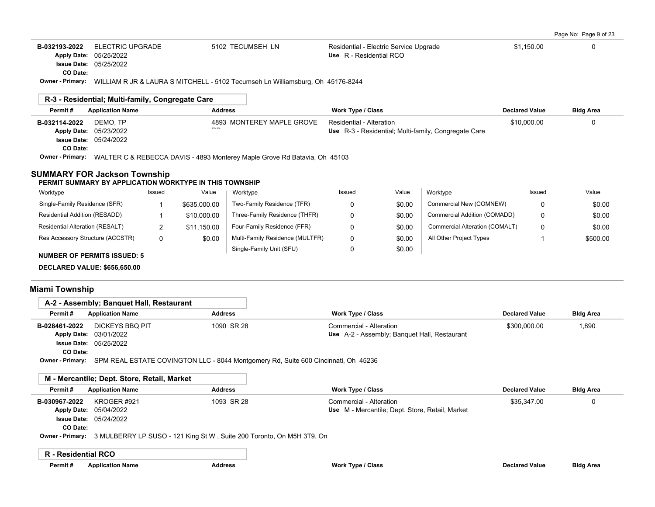| Page No: Page 9 of 23 |  |  |  |  |  |  |
|-----------------------|--|--|--|--|--|--|
|-----------------------|--|--|--|--|--|--|

| B-032193-2022             | ELECTRIC UPGRADE                                 | 5102 TECUMSEH LN                                                                                       | Residential - Electric Service Upgrade               | \$1,150.00            |                  |
|---------------------------|--------------------------------------------------|--------------------------------------------------------------------------------------------------------|------------------------------------------------------|-----------------------|------------------|
|                           | Apply Date: 05/25/2022                           |                                                                                                        | Use R - Residential RCO                              |                       |                  |
|                           | <b>Issue Date: 05/25/2022</b>                    |                                                                                                        |                                                      |                       |                  |
| CO Date:                  |                                                  |                                                                                                        |                                                      |                       |                  |
|                           |                                                  | <b>Owner - Primary:</b> WILLIAM R JR & LAURA S MITCHELL - 5102 Tecumseh Ln Williamsburg, Oh 45176-8244 |                                                      |                       |                  |
|                           |                                                  |                                                                                                        |                                                      |                       |                  |
|                           | R-3 - Residential: Multi-family, Congregate Care |                                                                                                        |                                                      |                       |                  |
| Permit#                   | <b>Application Name</b>                          | <b>Address</b>                                                                                         | <b>Work Type / Class</b>                             | <b>Declared Value</b> | <b>Bldg Area</b> |
|                           |                                                  |                                                                                                        |                                                      |                       |                  |
|                           | DEMO. TP                                         | 4893 MONTEREY MAPLE GROVE                                                                              | Residential - Alteration                             | \$10,000.00           |                  |
|                           | Apply Date: 05/23/2022                           | $- -$                                                                                                  | Use R-3 - Residential: Multi-family, Congregate Care |                       |                  |
|                           | <b>Issue Date: 05/24/2022</b>                    |                                                                                                        |                                                      |                       |                  |
| B-032114-2022<br>CO Date: |                                                  |                                                                                                        |                                                      |                       |                  |

| Worktype                           | Issued | Value        | Worktype                        | Issued | Value  | Worktype                       | Issued | Value    |
|------------------------------------|--------|--------------|---------------------------------|--------|--------|--------------------------------|--------|----------|
| Single-Family Residence (SFR)      |        | \$635,000.00 | Two-Family Residence (TFR)      |        | \$0.00 | Commercial New (COMNEW)        | 0      | \$0.00   |
| Residential Addition (RESADD)      |        | \$10,000.00  | Three-Family Residence (THFR)   |        | \$0.00 | Commercial Addition (COMADD)   | 0      | \$0.00   |
| Residential Alteration (RESALT)    |        | \$11.150.00  | Four-Family Residence (FFR)     |        | \$0.00 | Commercial Alteration (COMALT) | 0      | \$0.00   |
| Res Accessory Structure (ACCSTR)   |        | \$0.00       | Multi-Family Residence (MULTFR) |        | \$0.00 | All Other Project Types        |        | \$500.00 |
| <b>NUMBER OF PERMITS ISSUED: 5</b> |        |              | Single-Family Unit (SFU)        |        | \$0.00 |                                |        |          |

**DECLARED VALUE: \$656,650.00**

# **Miami Township**

|                         | A-2 - Assembly: Banguet Hall, Restaurant                                           |                | <b>Work Type / Class</b>                     |              |                  |
|-------------------------|------------------------------------------------------------------------------------|----------------|----------------------------------------------|--------------|------------------|
| Permit#                 | <b>Application Name</b>                                                            | <b>Address</b> |                                              |              | <b>Bldg Area</b> |
| B-028461-2022           | DICKEYS BBO PIT                                                                    | 1090 SR 28     | Commercial - Alteration                      | \$300.000.00 | 1,890            |
|                         | <b>Apply Date: 03/01/2022</b>                                                      |                | Use A-2 - Assembly: Banquet Hall, Restaurant |              |                  |
|                         | <b>Issue Date: 05/25/2022</b>                                                      |                |                                              |              |                  |
| CO Date:                |                                                                                    |                |                                              |              |                  |
| <b>Owner - Primary:</b> | SPM REAL ESTATE COVINGTON LLC - 8044 Montgomery Rd, Suite 600 Cincinnati, Oh 45236 |                |                                              |              |                  |

# **M - Mercantile; Dept. Store, Retail, Market**

| Permit#       | <b>Application Name</b>               | <b>Address</b>                                                                                | Work Type / Class                                                          | <b>Declared Value</b> | <b>Bldg Area</b> |
|---------------|---------------------------------------|-----------------------------------------------------------------------------------------------|----------------------------------------------------------------------------|-----------------------|------------------|
| B-030967-2022 | KROGER #921<br>Apply Date: 05/04/2022 | 1093 SR 28                                                                                    | Commercial - Alteration<br>Use M - Mercantile; Dept. Store, Retail, Market | \$35,347.00           |                  |
|               | <b>Issue Date: 05/24/2022</b>         |                                                                                               |                                                                            |                       |                  |
| CO Date:      |                                       |                                                                                               |                                                                            |                       |                  |
|               |                                       | <b>Owner - Primary:</b> 3 MULBERRY LP SUSO - 121 King St W, Suite 200 Toronto, On M5H 3T9, On |                                                                            |                       |                  |

### **R - Residential RCO**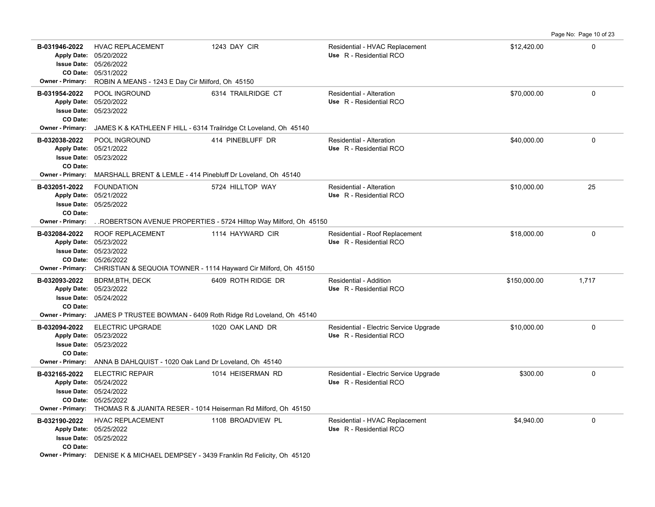**B-031946-2022** HVAC REPLACEMENT 1243 DAY CIR Residential - HVAC Replacement \$12,420.00 \$12,420.00 05/31/2022 **CO Date:** 05/26/2022 **Issue Date:** Apply Date: 05/20/2022 **Apply Date: Use** R - Residential RCO **Owner - Primary:** ROBIN A MEANS - 1243 E Day Cir Milford, Oh 45150 **B-031954-2022** \$70,000.00 0 POOL INGROUND 6314 TRAILRIDGE CT Residential - Alteration 05/23/2022 **Issue Date:** 05/20/2022 **Apply Date: Use** R - Residential RCO **CO Date: Owner - Primary:** JAMES K & KATHLEEN F HILL - 6314 Trailridge Ct Loveland, Oh 45140 **B-032038-2022** POOL INGROUND 414 PINEBLUFF DR Residential - Alteration \$40,000.00 0 05/23/2022 **Issue Date:** 05/21/2022 **Apply Date: Use** R - Residential RCO POOL INGROUND 414 PINEBLUFF DR Residential - Alteration **CO Date: Owner - Primary:** MARSHALL BRENT & LEMLE - 414 Pinebluff Dr Loveland, Oh 45140 **B-032051-2022** \$10,000.00 25 05/25/2022 **Issue Date:** 05/21/2022 **Apply Date: Use** R - Residential RCO FOUNDATION 6724 HILLTOP WAY Residential - Alteration **CO Date: Owner - Primary:** . .ROBERTSON AVENUE PROPERTIES - 5724 Hilltop Way Milford, Oh 45150 **B-032084-2022** ROOF REPLACEMENT 1114 HAYWARD CIR Residential - Roof Replacement \$18,000.00 \$18,000.00 0 05/26/2022 **CO Date:** 05/23/2022 **Issue Date:** Apply Date: 05/23/2022 **Apply Date: Use** R - Residential RCO **Owner - Primary:** CHRISTIAN & SEQUOIA TOWNER - 1114 Hayward Cir Milford, Oh 45150 **B-032093-2022** \$150,000.00 1,717 BDRM,BTH, DECK 6409 ROTH RIDGE DR Residential - Addition 05/24/2022 **Issue Date:** Apply Date: 05/23/2022 **Apply Date: Use** R - Residential RCO **CO Date: Owner - Primary:** JAMES P TRUSTEE BOWMAN - 6409 Roth Ridge Rd Loveland, Oh 45140 B-032094-2022 ELECTRIC UPGRADE 1020 OAK LAND DR Residential - Electric Service Upgrade \$10,000.00 \$10,000.00 0 05/23/2022 **Issue Date:** Apply Date: 05/23/2022 **Apply Date: Use** R - Residential RCO **CO Date: Owner - Primary:** ANNA B DAHLQUIST - 1020 Oak Land Dr Loveland, Oh 45140 **B-032165-2022** ELECTRIC REPAIR 1014 HEISERMAN RD Residential - Electric Service Upgrade \$300.00 \$300.00 0 05/25/2022 **CO Date:** 05/24/2022 **Issue Date:** 05/24/2022 **Apply Date: Use** R - Residential RCO **Owner - Primary:** THOMAS R & JUANITA RESER - 1014 Heiserman Rd Milford, Oh 45150 **B-032190-2022** HVAC REPLACEMENT 1108 BROADVIEW PL Residential - HVAC Replacement \$4,940.00 \$4,940.00 05/25/2022 **Issue Date:** 05/25/2022 **Apply Date: Use** R - Residential RCO **CO Date:**

Page No: Page 10 of 23

**Owner - Primary:** DENISE K & MICHAEL DEMPSEY - 3439 Franklin Rd Felicity, Oh 45120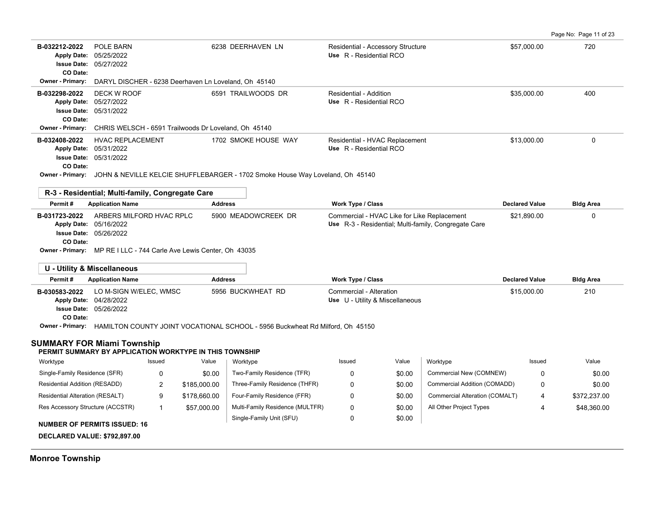| Page No: Page 11 of 23 |  |  |  |  |
|------------------------|--|--|--|--|
|------------------------|--|--|--|--|

|                                                                       |                                                                                                                                         |                      |                                                                                                     |                       | Page No: Page 11 of 23 |
|-----------------------------------------------------------------------|-----------------------------------------------------------------------------------------------------------------------------------------|----------------------|-----------------------------------------------------------------------------------------------------|-----------------------|------------------------|
| B-032212-2022<br><b>Apply Date:</b><br><b>Issue Date:</b><br>CO Date: | POLE BARN<br>05/25/2022<br>05/27/2022                                                                                                   | 6238 DEERHAVEN LN    | Residential - Accessory Structure<br>Use R - Residential RCO                                        | \$57,000.00           | 720                    |
| Owner - Primary:                                                      | DARYL DISCHER - 6238 Deerhaven Ln Loveland, Oh 45140                                                                                    |                      |                                                                                                     |                       |                        |
| B-032298-2022<br><b>Apply Date:</b><br>CO Date:                       | DECK W ROOF<br>05/27/2022<br><b>Issue Date: 05/31/2022</b>                                                                              | 6591 TRAILWOODS DR   | Residential - Addition<br>Use R - Residential RCO                                                   | \$35,000.00           | 400                    |
| Owner - Primary:                                                      | CHRIS WELSCH - 6591 Trailwoods Dr Loveland, Oh 45140                                                                                    |                      |                                                                                                     |                       |                        |
| B-032408-2022                                                         | <b>HVAC REPLACEMENT</b><br>Apply Date: 05/31/2022<br><b>Issue Date: 05/31/2022</b>                                                      | 1702 SMOKE HOUSE WAY | Residential - HVAC Replacement<br>Use R - Residential RCO                                           | \$13,000.00           | $\Omega$               |
| CO Date:                                                              | Owner - Primary: JOHN & NEVILLE KELCIE SHUFFLEBARGER - 1702 Smoke House Way Loveland, Oh 45140                                          |                      |                                                                                                     |                       |                        |
|                                                                       | R-3 - Residential; Multi-family, Congregate Care                                                                                        |                      |                                                                                                     |                       |                        |
| Permit#                                                               | <b>Application Name</b>                                                                                                                 | <b>Address</b>       | Work Type / Class                                                                                   | <b>Declared Value</b> | <b>Bldg Area</b>       |
| B-031723-2022<br><b>Issue Date:</b><br>CO Date:                       | ARBERS MILFORD HVAC RPLC<br>Apply Date: 05/16/2022<br>05/26/2022<br>Owner - Primary: MP RE I LLC - 744 Carle Ave Lewis Center, Oh 43035 | 5900 MEADOWCREEK DR  | Commercial - HVAC Like for Like Replacement<br>Use R-3 - Residential; Multi-family, Congregate Care | \$21,890.00           | 0                      |
|                                                                       | <b>U - Utility &amp; Miscellaneous</b>                                                                                                  |                      |                                                                                                     |                       |                        |
| Permit#                                                               | <b>Application Name</b>                                                                                                                 | <b>Address</b>       | Work Type / Class                                                                                   | <b>Declared Value</b> | <b>Bldg Area</b>       |
| B-030583-2022<br>CO Date:                                             | LO M-SIGN W/ELEC, WMSC<br>Apply Date: 04/28/2022<br><b>Issue Date: 05/26/2022</b>                                                       | 5956 BUCKWHEAT RD    | Commercial - Alteration<br>Use U - Utility & Miscellaneous                                          | \$15,000.00           | 210                    |
|                                                                       | Owner - Primary: HAMILTON COUNTY JOINT VOCATIONAL SCHOOL - 5956 Buckwheat Rd Milford, Oh 45150                                          |                      |                                                                                                     |                       |                        |
| <b>SUMMARY FOR Miami Township</b>                                     |                                                                                                                                         |                      |                                                                                                     |                       |                        |
|                                                                       | PERMIT SUMMARY BY APPLICATION WORKTYPE IN THIS TOWNSHIP                                                                                 |                      |                                                                                                     |                       |                        |

| Worktype                            | Issued | Value        | Worktype                        | Issued | Value  | Worktype                       | Issued | Value        |
|-------------------------------------|--------|--------------|---------------------------------|--------|--------|--------------------------------|--------|--------------|
| Single-Family Residence (SFR)       |        | \$0.00       | Two-Family Residence (TFR)      |        | \$0.00 | Commercial New (COMNEW)        | 0      | \$0.00       |
| Residential Addition (RESADD)       | _      | \$185,000.00 | Three-Family Residence (THFR)   |        | \$0.00 | Commercial Addition (COMADD)   | 0      | \$0.00       |
| Residential Alteration (RESALT)     | 9      | \$178,660.00 | Four-Family Residence (FFR)     |        | \$0.00 | Commercial Alteration (COMALT) | 4      | \$372.237.00 |
| Res Accessory Structure (ACCSTR)    |        | \$57,000.00  | Multi-Family Residence (MULTFR) |        | \$0.00 | All Other Project Types        |        | \$48.360.00  |
|                                     |        |              | Single-Family Unit (SFU)        |        | \$0.00 |                                |        |              |
| <b>NUMBER OF PERMITS ISSUED: 16</b> |        |              |                                 |        |        |                                |        |              |

**DECLARED VALUE: \$792,897.00**

# **Monroe Township**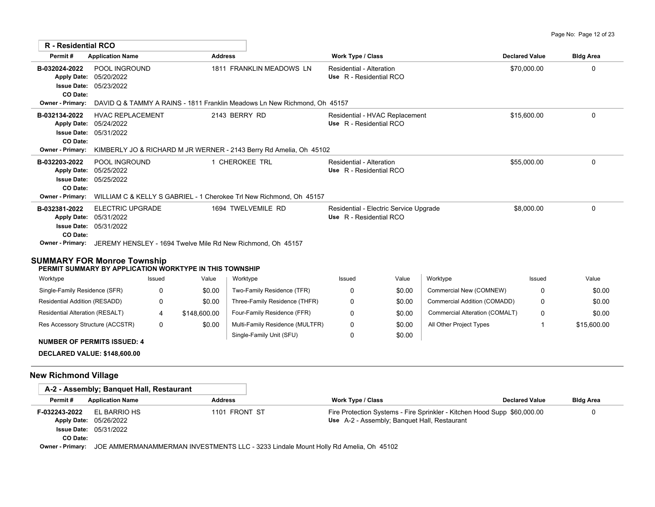| <b>R</b> - Residential RCO                                                 |                                                                                     |                                                                                     |                                                                   |                       |                  |
|----------------------------------------------------------------------------|-------------------------------------------------------------------------------------|-------------------------------------------------------------------------------------|-------------------------------------------------------------------|-----------------------|------------------|
| Permit#                                                                    | <b>Application Name</b>                                                             | <b>Address</b>                                                                      | Work Type / Class                                                 | <b>Declared Value</b> | <b>Bldg Area</b> |
| B-032024-2022<br><b>Apply Date:</b><br><b>Issue Date:</b><br>CO Date:      | POOL INGROUND<br>05/20/2022<br>05/23/2022                                           | 1811 FRANKLIN MEADOWS LN                                                            | Residential - Alteration<br>Use R - Residential RCO               | \$70,000.00           | 0                |
| <b>Owner - Primary:</b>                                                    |                                                                                     | DAVID Q & TAMMY A RAINS - 1811 Franklin Meadows Ln New Richmond. Oh 45157           |                                                                   |                       |                  |
| B-032134-2022<br><b>Issue Date:</b><br>CO Date:<br><b>Owner - Primary:</b> | <b>HVAC REPLACEMENT</b><br>Apply Date: 05/24/2022<br>05/31/2022                     | 2143 BERRY RD<br>KIMBERLY JO & RICHARD M JR WERNER - 2143 Berry Rd Amelia, Oh 45102 | Residential - HVAC Replacement<br>Use R - Residential RCO         | \$15,600.00           | 0                |
|                                                                            |                                                                                     | 1 CHEROKEE TRL                                                                      | Residential - Alteration                                          |                       |                  |
| B-032203-2022<br><b>Apply Date:</b><br><b>Issue Date:</b><br>CO Date:      | POOL INGROUND<br>05/25/2022<br>05/25/2022                                           |                                                                                     | Use R - Residential RCO                                           | \$55,000.00           | 0                |
| <b>Owner - Primary:</b>                                                    | WILLIAM C & KELLY S GABRIEL - 1 Cherokee Trl New Richmond, Oh 45157                 |                                                                                     |                                                                   |                       |                  |
| B-032381-2022<br><b>Apply Date:</b><br><b>Issue Date:</b><br>CO Date:      | ELECTRIC UPGRADE<br>05/31/2022<br>05/31/2022                                        | 1694 TWELVEMILE RD                                                                  | Residential - Electric Service Upgrade<br>Use R - Residential RCO | \$8,000.00            | 0                |
|                                                                            | <b>Owner - Primary:</b> JEREMY HENSLEY - 1694 Twelve Mile Rd New Richmond, Oh 45157 |                                                                                     |                                                                   |                       |                  |
|                                                                            | SUMMARY FOR Monroe Township                                                         |                                                                                     |                                                                   |                       |                  |

### **PERMIT SUMMARY BY APPLICATION WORKTYPE IN THIS TOWNSHIP**

| Worktype                           | Issued | Value        | Worktype                        | Issued | Value  | Worktype                       | Issued | Value       |
|------------------------------------|--------|--------------|---------------------------------|--------|--------|--------------------------------|--------|-------------|
| Single-Family Residence (SFR)      |        | \$0.00       | Two-Family Residence (TFR)      |        | \$0.00 | Commercial New (COMNEW)        |        | \$0.00      |
| Residential Addition (RESADD)      |        | \$0.00       | Three-Family Residence (THFR)   |        | \$0.00 | Commercial Addition (COMADD)   |        | \$0.00      |
| Residential Alteration (RESALT)    |        | \$148,600.00 | Four-Family Residence (FFR)     |        | \$0.00 | Commercial Alteration (COMALT) |        | \$0.00      |
| Res Accessory Structure (ACCSTR)   | 0      | \$0.00       | Multi-Family Residence (MULTFR) |        | \$0.00 | All Other Project Types        |        | \$15,600.00 |
|                                    |        |              | Single-Family Unit (SFU)        |        | \$0.00 |                                |        |             |
| <b>NUMBER OF PERMITS ISSUED: 4</b> |        |              |                                 |        |        |                                |        |             |

### **DECLARED VALUE: \$148,600.00**

# **New Richmond Village**

|                                     | A-2 - Assembly; Banguet Hall, Restaurant    |                                                                                            |                                                                          |                       |                  |
|-------------------------------------|---------------------------------------------|--------------------------------------------------------------------------------------------|--------------------------------------------------------------------------|-----------------------|------------------|
| Permit#                             | <b>Application Name</b>                     | <b>Address</b>                                                                             | Work Type / Class                                                        | <b>Declared Value</b> | <b>Bldg Area</b> |
| F-032243-2022<br><b>Apply Date:</b> | EL BARRIO HS                                | 1101 FRONT ST                                                                              | Fire Protection Systems - Fire Sprinkler - Kitchen Hood Supp \$60,000.00 |                       |                  |
|                                     | 05/26/2022<br><b>Issue Date: 05/31/2022</b> |                                                                                            | Use A-2 - Assembly: Banquet Hall, Restaurant                             |                       |                  |
| CO Date:                            |                                             |                                                                                            |                                                                          |                       |                  |
| $\bigcap_{i=1}^{n}$                 |                                             | LOE ANALEDMANIAMAEDMANI INVECTMENTO LLO - 2009 Lissiels Macost Halled Assaults - Ob. AEAOO |                                                                          |                       |                  |

**Owner - Primary:** JOE AMMERMANAMMERMAN INVESTMENTS LLC - 3233 Lindale Mount Holly Rd Amelia, Oh 45102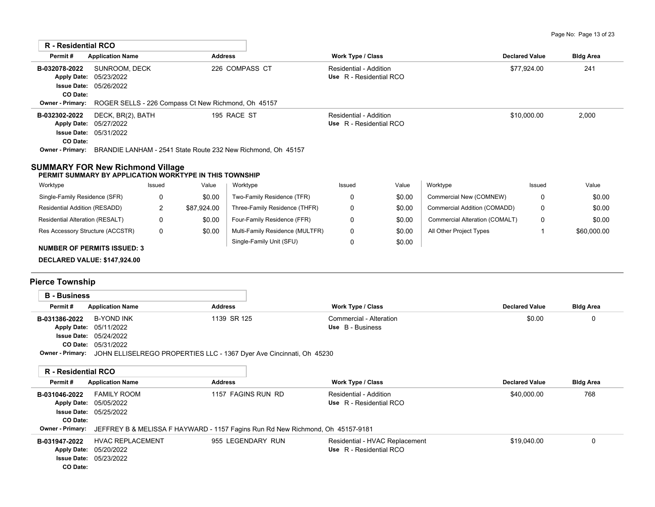| <b>R</b> - Residential RCO                                                                         |                                                                                      |             |                |                                                                                                      |                                                          |        |                                |                       |                  |
|----------------------------------------------------------------------------------------------------|--------------------------------------------------------------------------------------|-------------|----------------|------------------------------------------------------------------------------------------------------|----------------------------------------------------------|--------|--------------------------------|-----------------------|------------------|
| Permit#                                                                                            | <b>Application Name</b>                                                              |             | <b>Address</b> |                                                                                                      | <b>Work Type / Class</b>                                 |        |                                | <b>Declared Value</b> |                  |
| B-032078-2022                                                                                      | SUNROOM, DECK<br>Apply Date: 05/23/2022<br><b>Issue Date: 05/26/2022</b><br>CO Date: |             |                | 226 COMPASS CT                                                                                       | Residential - Addition<br>Use R - Residential RCO        |        |                                | \$77,924.00           | 241              |
| <b>Owner - Primary:</b>                                                                            |                                                                                      |             |                | ROGER SELLS - 226 Compass Ct New Richmond, Oh 45157                                                  |                                                          |        |                                |                       |                  |
| B-032302-2022<br>Apply Date: 05/27/2022<br>CO Date:                                                | DECK, BR(2), BATH<br><b>Issue Date: 05/31/2022</b>                                   |             |                | 195 RACE ST<br>Owner - Primary: BRANDIE LANHAM - 2541 State Route 232 New Richmond, Oh 45157         | <b>Residential - Addition</b><br>Use R - Residential RCO |        |                                | \$10,000.00           | 2,000            |
| <b>SUMMARY FOR New Richmond Village</b><br>PERMIT SUMMARY BY APPLICATION WORKTYPE IN THIS TOWNSHIP |                                                                                      |             |                |                                                                                                      |                                                          |        |                                |                       |                  |
| Worktype                                                                                           |                                                                                      | Issued      | Value          | Worktype                                                                                             | Issued                                                   | Value  | Worktype                       | Issued                | Value            |
| Single-Family Residence (SFR)                                                                      |                                                                                      | 0           | \$0.00         | Two-Family Residence (TFR)                                                                           | 0                                                        | \$0.00 | Commercial New (COMNEW)        | 0                     | \$0.00           |
| Residential Addition (RESADD)                                                                      |                                                                                      | 2           | \$87,924.00    | Three-Family Residence (THFR)                                                                        | 0                                                        | \$0.00 | Commercial Addition (COMADD)   | 0                     | \$0.00           |
| Residential Alteration (RESALT)                                                                    |                                                                                      | $\Omega$    | \$0.00         | Four-Family Residence (FFR)                                                                          | 0                                                        | \$0.00 | Commercial Alteration (COMALT) | $\Omega$              | \$0.00           |
| Res Accessory Structure (ACCSTR)                                                                   |                                                                                      | $\mathbf 0$ | \$0.00         | Multi-Family Residence (MULTFR)                                                                      | 0                                                        | \$0.00 | All Other Project Types        | $\mathbf{1}$          | \$60,000.00      |
|                                                                                                    |                                                                                      |             |                | Single-Family Unit (SFU)                                                                             | 0                                                        | \$0.00 |                                |                       |                  |
| <b>NUMBER OF PERMITS ISSUED: 3</b><br>DECLARED VALUE: \$147,924.00                                 |                                                                                      |             |                |                                                                                                      |                                                          |        |                                |                       |                  |
| <b>Pierce Township</b>                                                                             |                                                                                      |             |                |                                                                                                      |                                                          |        |                                |                       |                  |
| <b>B</b> - Business                                                                                |                                                                                      |             |                |                                                                                                      |                                                          |        |                                |                       |                  |
| Permit#                                                                                            | <b>Application Name</b>                                                              |             | <b>Address</b> |                                                                                                      | <b>Work Type / Class</b>                                 |        | <b>Declared Value</b>          |                       | <b>Bldg Area</b> |
| B-031386-2022<br>Apply Date: 05/11/2022                                                            | <b>B-YOND INK</b><br><b>Issue Date: 05/24/2022</b><br>CO Date: 05/31/2022            |             |                | 1139 SR 125<br>Owner - Primary: JOHN ELLISELREGO PROPERTIES LLC - 1367 Dyer Ave Cincinnati, Oh 45230 | Commercial - Alteration<br>Use B - Business              |        |                                | \$0.00                | 0                |
| <b>R</b> - Residential RCO                                                                         |                                                                                      |             |                |                                                                                                      |                                                          |        |                                |                       |                  |
| Permit#                                                                                            | <b>Application Name</b>                                                              |             | <b>Address</b> |                                                                                                      | Work Type / Class                                        |        | <b>Declared Value</b>          |                       | <b>Bldg Area</b> |
| B-031046-2022<br>Apply Date: 05/05/2022<br>CO Date:<br>Owner - Primary:                            | <b>FAMILY ROOM</b><br><b>Issue Date: 05/25/2022</b>                                  |             |                | 1157 FAGINS RUN RD<br>JEFFREY B & MELISSA F HAYWARD - 1157 Fagins Run Rd New Richmond, Oh 45157-9181 | <b>Residential - Addition</b><br>Use R - Residential RCO |        |                                | \$40,000.00           | 768              |
| B-031947-2022                                                                                      | <b>HVAC REPLACEMENT</b>                                                              |             |                | 955 LEGENDARY RUN                                                                                    | Residential - HVAC Replacement                           |        |                                | \$19,040.00           | $\mathbf 0$      |
| Apply Date: 05/20/2022                                                                             |                                                                                      |             |                |                                                                                                      | Use R - Residential RCO                                  |        |                                |                       |                  |

05/23/2022 **Issue Date:**

**CO Date:**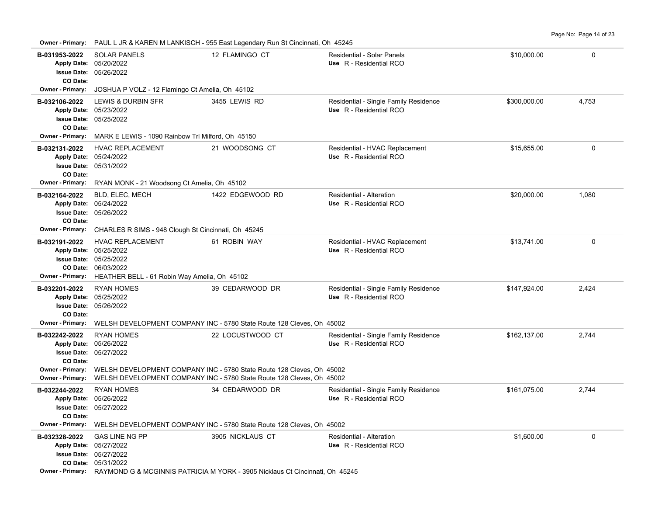Page No: Page 14 of 23

| <b>SOLAR PANELS</b><br>B-031953-2022<br>12 FLAMINGO CT<br>Residential - Solar Panels<br>\$10,000.00<br>0<br>Apply Date: 05/20/2022<br>Use R - Residential RCO<br><b>Issue Date: 05/26/2022</b><br>CO Date:<br>Owner - Primary:<br>JOSHUA P VOLZ - 12 Flamingo Ct Amelia, Oh 45102<br><b>LEWIS &amp; DURBIN SFR</b><br>3455 LEWIS RD<br>Residential - Single Family Residence<br>\$300,000.00<br>4,753<br>B-032106-2022<br>Apply Date: 05/23/2022<br>Use R - Residential RCO<br>Issue Date: 05/25/2022<br>CO Date:<br>Owner - Primary: MARK E LEWIS - 1090 Rainbow Trl Milford, Oh 45150<br>$\mathbf 0$<br>B-032131-2022<br><b>HVAC REPLACEMENT</b><br>21 WOODSONG CT<br>Residential - HVAC Replacement<br>\$15,655.00<br>Apply Date: 05/24/2022<br>Use R - Residential RCO<br><b>Issue Date: 05/31/2022</b><br>CO Date:<br><b>Owner - Primary:</b><br>RYAN MONK - 21 Woodsong Ct Amelia, Oh 45102<br>Residential - Alteration<br>\$20,000.00<br>1,080<br>B-032164-2022<br>BLD, ELEC, MECH<br>1422 EDGEWOOD RD<br>Apply Date: 05/24/2022<br>Use R - Residential RCO<br>Issue Date: 05/26/2022<br>CO Date:<br>Owner - Primary:<br>CHARLES R SIMS - 948 Clough St Cincinnati, Oh 45245<br>Residential - HVAC Replacement<br>$\mathbf 0$<br>B-032191-2022<br><b>HVAC REPLACEMENT</b><br>61 ROBIN WAY<br>\$13,741.00<br>Use R - Residential RCO<br>Apply Date: 05/25/2022<br>Issue Date: 05/25/2022<br>CO Date: 06/03/2022<br>Owner - Primary: HEATHER BELL - 61 Robin Way Amelia, Oh 45102<br><b>RYAN HOMES</b><br>39 CEDARWOOD DR<br>Residential - Single Family Residence<br>\$147,924.00<br>2,424<br>B-032201-2022<br>Apply Date: 05/25/2022<br>Use R - Residential RCO<br><b>Issue Date: 05/26/2022</b><br>CO Date:<br><b>Owner - Primary:</b><br>WELSH DEVELOPMENT COMPANY INC - 5780 State Route 128 Cleves, Oh 45002<br><b>RYAN HOMES</b><br>22 LOCUSTWOOD CT<br>Residential - Single Family Residence<br>B-032242-2022<br>\$162,137.00<br>2,744<br>Apply Date: 05/26/2022<br>Use R - Residential RCO<br><b>Issue Date: 05/27/2022</b><br>CO Date:<br>Owner - Primary:<br>WELSH DEVELOPMENT COMPANY INC - 5780 State Route 128 Cleves, Oh 45002<br><b>Owner - Primary:</b><br>WELSH DEVELOPMENT COMPANY INC - 5780 State Route 128 Cleves, Oh 45002<br><b>RYAN HOMES</b><br>34 CEDARWOOD DR<br>Residential - Single Family Residence<br>\$161,075.00<br>2,744<br>B-032244-2022<br>Apply Date: 05/26/2022<br>Use R - Residential RCO<br>Issue Date: 05/27/2022<br>CO Date:<br>Owner - Primary:<br>WELSH DEVELOPMENT COMPANY INC - 5780 State Route 128 Cleves, Oh 45002<br><b>GAS LINE NG PP</b><br>\$1,600.00<br>0<br>B-032328-2022<br>3905 NICKLAUS CT<br><b>Residential - Alteration</b><br>Apply Date: 05/27/2022<br>Use R - Residential RCO<br><b>Issue Date: 05/27/2022</b><br>CO Date: 05/31/2022<br><b>Owner - Primary:</b> RAYMOND G & MCGINNIS PATRICIA M YORK - 3905 Nicklaus Ct Cincinnati, Oh 45245 | <b>Owner - Primary:</b> |  | PAUL L JR & KAREN M LANKISCH - 955 East Legendary Run St Cincinnati, Oh 45245 |  |  |  |  |  |  |  |  |
|--------------------------------------------------------------------------------------------------------------------------------------------------------------------------------------------------------------------------------------------------------------------------------------------------------------------------------------------------------------------------------------------------------------------------------------------------------------------------------------------------------------------------------------------------------------------------------------------------------------------------------------------------------------------------------------------------------------------------------------------------------------------------------------------------------------------------------------------------------------------------------------------------------------------------------------------------------------------------------------------------------------------------------------------------------------------------------------------------------------------------------------------------------------------------------------------------------------------------------------------------------------------------------------------------------------------------------------------------------------------------------------------------------------------------------------------------------------------------------------------------------------------------------------------------------------------------------------------------------------------------------------------------------------------------------------------------------------------------------------------------------------------------------------------------------------------------------------------------------------------------------------------------------------------------------------------------------------------------------------------------------------------------------------------------------------------------------------------------------------------------------------------------------------------------------------------------------------------------------------------------------------------------------------------------------------------------------------------------------------------------------------------------------------------------------------------------------------------------------------------------------------------------------------------------------------------------------------------------------------------------------------------------------------------------------------------------------------------------------------------------------------------------------------------------------------------------------------------------------------------------------------------------------------------|-------------------------|--|-------------------------------------------------------------------------------|--|--|--|--|--|--|--|--|
|                                                                                                                                                                                                                                                                                                                                                                                                                                                                                                                                                                                                                                                                                                                                                                                                                                                                                                                                                                                                                                                                                                                                                                                                                                                                                                                                                                                                                                                                                                                                                                                                                                                                                                                                                                                                                                                                                                                                                                                                                                                                                                                                                                                                                                                                                                                                                                                                                                                                                                                                                                                                                                                                                                                                                                                                                                                                                                                    |                         |  |                                                                               |  |  |  |  |  |  |  |  |
|                                                                                                                                                                                                                                                                                                                                                                                                                                                                                                                                                                                                                                                                                                                                                                                                                                                                                                                                                                                                                                                                                                                                                                                                                                                                                                                                                                                                                                                                                                                                                                                                                                                                                                                                                                                                                                                                                                                                                                                                                                                                                                                                                                                                                                                                                                                                                                                                                                                                                                                                                                                                                                                                                                                                                                                                                                                                                                                    |                         |  |                                                                               |  |  |  |  |  |  |  |  |
|                                                                                                                                                                                                                                                                                                                                                                                                                                                                                                                                                                                                                                                                                                                                                                                                                                                                                                                                                                                                                                                                                                                                                                                                                                                                                                                                                                                                                                                                                                                                                                                                                                                                                                                                                                                                                                                                                                                                                                                                                                                                                                                                                                                                                                                                                                                                                                                                                                                                                                                                                                                                                                                                                                                                                                                                                                                                                                                    |                         |  |                                                                               |  |  |  |  |  |  |  |  |
|                                                                                                                                                                                                                                                                                                                                                                                                                                                                                                                                                                                                                                                                                                                                                                                                                                                                                                                                                                                                                                                                                                                                                                                                                                                                                                                                                                                                                                                                                                                                                                                                                                                                                                                                                                                                                                                                                                                                                                                                                                                                                                                                                                                                                                                                                                                                                                                                                                                                                                                                                                                                                                                                                                                                                                                                                                                                                                                    |                         |  |                                                                               |  |  |  |  |  |  |  |  |
|                                                                                                                                                                                                                                                                                                                                                                                                                                                                                                                                                                                                                                                                                                                                                                                                                                                                                                                                                                                                                                                                                                                                                                                                                                                                                                                                                                                                                                                                                                                                                                                                                                                                                                                                                                                                                                                                                                                                                                                                                                                                                                                                                                                                                                                                                                                                                                                                                                                                                                                                                                                                                                                                                                                                                                                                                                                                                                                    |                         |  |                                                                               |  |  |  |  |  |  |  |  |
|                                                                                                                                                                                                                                                                                                                                                                                                                                                                                                                                                                                                                                                                                                                                                                                                                                                                                                                                                                                                                                                                                                                                                                                                                                                                                                                                                                                                                                                                                                                                                                                                                                                                                                                                                                                                                                                                                                                                                                                                                                                                                                                                                                                                                                                                                                                                                                                                                                                                                                                                                                                                                                                                                                                                                                                                                                                                                                                    |                         |  |                                                                               |  |  |  |  |  |  |  |  |
|                                                                                                                                                                                                                                                                                                                                                                                                                                                                                                                                                                                                                                                                                                                                                                                                                                                                                                                                                                                                                                                                                                                                                                                                                                                                                                                                                                                                                                                                                                                                                                                                                                                                                                                                                                                                                                                                                                                                                                                                                                                                                                                                                                                                                                                                                                                                                                                                                                                                                                                                                                                                                                                                                                                                                                                                                                                                                                                    |                         |  |                                                                               |  |  |  |  |  |  |  |  |
|                                                                                                                                                                                                                                                                                                                                                                                                                                                                                                                                                                                                                                                                                                                                                                                                                                                                                                                                                                                                                                                                                                                                                                                                                                                                                                                                                                                                                                                                                                                                                                                                                                                                                                                                                                                                                                                                                                                                                                                                                                                                                                                                                                                                                                                                                                                                                                                                                                                                                                                                                                                                                                                                                                                                                                                                                                                                                                                    |                         |  |                                                                               |  |  |  |  |  |  |  |  |
|                                                                                                                                                                                                                                                                                                                                                                                                                                                                                                                                                                                                                                                                                                                                                                                                                                                                                                                                                                                                                                                                                                                                                                                                                                                                                                                                                                                                                                                                                                                                                                                                                                                                                                                                                                                                                                                                                                                                                                                                                                                                                                                                                                                                                                                                                                                                                                                                                                                                                                                                                                                                                                                                                                                                                                                                                                                                                                                    |                         |  |                                                                               |  |  |  |  |  |  |  |  |
|                                                                                                                                                                                                                                                                                                                                                                                                                                                                                                                                                                                                                                                                                                                                                                                                                                                                                                                                                                                                                                                                                                                                                                                                                                                                                                                                                                                                                                                                                                                                                                                                                                                                                                                                                                                                                                                                                                                                                                                                                                                                                                                                                                                                                                                                                                                                                                                                                                                                                                                                                                                                                                                                                                                                                                                                                                                                                                                    |                         |  |                                                                               |  |  |  |  |  |  |  |  |
|                                                                                                                                                                                                                                                                                                                                                                                                                                                                                                                                                                                                                                                                                                                                                                                                                                                                                                                                                                                                                                                                                                                                                                                                                                                                                                                                                                                                                                                                                                                                                                                                                                                                                                                                                                                                                                                                                                                                                                                                                                                                                                                                                                                                                                                                                                                                                                                                                                                                                                                                                                                                                                                                                                                                                                                                                                                                                                                    |                         |  |                                                                               |  |  |  |  |  |  |  |  |
|                                                                                                                                                                                                                                                                                                                                                                                                                                                                                                                                                                                                                                                                                                                                                                                                                                                                                                                                                                                                                                                                                                                                                                                                                                                                                                                                                                                                                                                                                                                                                                                                                                                                                                                                                                                                                                                                                                                                                                                                                                                                                                                                                                                                                                                                                                                                                                                                                                                                                                                                                                                                                                                                                                                                                                                                                                                                                                                    |                         |  |                                                                               |  |  |  |  |  |  |  |  |
|                                                                                                                                                                                                                                                                                                                                                                                                                                                                                                                                                                                                                                                                                                                                                                                                                                                                                                                                                                                                                                                                                                                                                                                                                                                                                                                                                                                                                                                                                                                                                                                                                                                                                                                                                                                                                                                                                                                                                                                                                                                                                                                                                                                                                                                                                                                                                                                                                                                                                                                                                                                                                                                                                                                                                                                                                                                                                                                    |                         |  |                                                                               |  |  |  |  |  |  |  |  |
|                                                                                                                                                                                                                                                                                                                                                                                                                                                                                                                                                                                                                                                                                                                                                                                                                                                                                                                                                                                                                                                                                                                                                                                                                                                                                                                                                                                                                                                                                                                                                                                                                                                                                                                                                                                                                                                                                                                                                                                                                                                                                                                                                                                                                                                                                                                                                                                                                                                                                                                                                                                                                                                                                                                                                                                                                                                                                                                    |                         |  |                                                                               |  |  |  |  |  |  |  |  |
|                                                                                                                                                                                                                                                                                                                                                                                                                                                                                                                                                                                                                                                                                                                                                                                                                                                                                                                                                                                                                                                                                                                                                                                                                                                                                                                                                                                                                                                                                                                                                                                                                                                                                                                                                                                                                                                                                                                                                                                                                                                                                                                                                                                                                                                                                                                                                                                                                                                                                                                                                                                                                                                                                                                                                                                                                                                                                                                    |                         |  |                                                                               |  |  |  |  |  |  |  |  |
|                                                                                                                                                                                                                                                                                                                                                                                                                                                                                                                                                                                                                                                                                                                                                                                                                                                                                                                                                                                                                                                                                                                                                                                                                                                                                                                                                                                                                                                                                                                                                                                                                                                                                                                                                                                                                                                                                                                                                                                                                                                                                                                                                                                                                                                                                                                                                                                                                                                                                                                                                                                                                                                                                                                                                                                                                                                                                                                    |                         |  |                                                                               |  |  |  |  |  |  |  |  |
|                                                                                                                                                                                                                                                                                                                                                                                                                                                                                                                                                                                                                                                                                                                                                                                                                                                                                                                                                                                                                                                                                                                                                                                                                                                                                                                                                                                                                                                                                                                                                                                                                                                                                                                                                                                                                                                                                                                                                                                                                                                                                                                                                                                                                                                                                                                                                                                                                                                                                                                                                                                                                                                                                                                                                                                                                                                                                                                    |                         |  |                                                                               |  |  |  |  |  |  |  |  |
|                                                                                                                                                                                                                                                                                                                                                                                                                                                                                                                                                                                                                                                                                                                                                                                                                                                                                                                                                                                                                                                                                                                                                                                                                                                                                                                                                                                                                                                                                                                                                                                                                                                                                                                                                                                                                                                                                                                                                                                                                                                                                                                                                                                                                                                                                                                                                                                                                                                                                                                                                                                                                                                                                                                                                                                                                                                                                                                    |                         |  |                                                                               |  |  |  |  |  |  |  |  |
|                                                                                                                                                                                                                                                                                                                                                                                                                                                                                                                                                                                                                                                                                                                                                                                                                                                                                                                                                                                                                                                                                                                                                                                                                                                                                                                                                                                                                                                                                                                                                                                                                                                                                                                                                                                                                                                                                                                                                                                                                                                                                                                                                                                                                                                                                                                                                                                                                                                                                                                                                                                                                                                                                                                                                                                                                                                                                                                    |                         |  |                                                                               |  |  |  |  |  |  |  |  |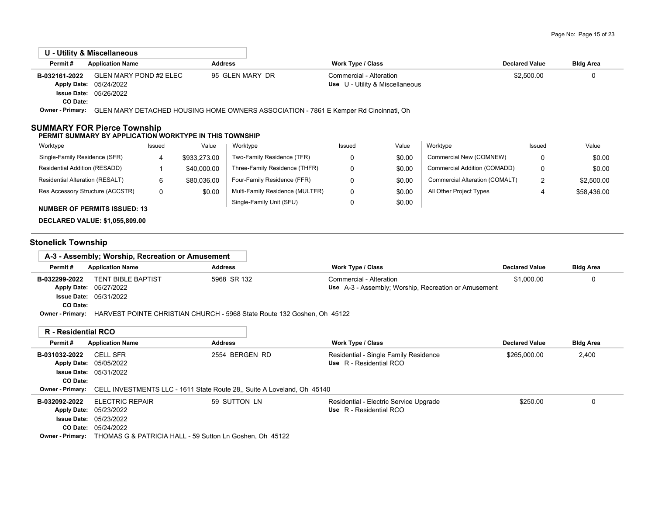| U - Utility & Miscellaneous                                                                   |                         |                |                                                                                      |                          |                                 |                                |                       |                  |
|-----------------------------------------------------------------------------------------------|-------------------------|----------------|--------------------------------------------------------------------------------------|--------------------------|---------------------------------|--------------------------------|-----------------------|------------------|
| Permit#                                                                                       | <b>Application Name</b> | <b>Address</b> |                                                                                      | <b>Work Type / Class</b> |                                 |                                | <b>Declared Value</b> | <b>Bldg Area</b> |
| B-032161-2022                                                                                 | GLEN MARY POND #2 ELEC  |                | 95 GLEN MARY DR                                                                      | Commercial - Alteration  |                                 |                                | \$2,500.00            | 0                |
| <b>Apply Date:</b><br>05/24/2022                                                              |                         |                |                                                                                      |                          | Use U - Utility & Miscellaneous |                                |                       |                  |
| <b>Issue Date: 05/26/2022</b>                                                                 |                         |                |                                                                                      |                          |                                 |                                |                       |                  |
| CO Date:                                                                                      |                         |                |                                                                                      |                          |                                 |                                |                       |                  |
| <b>Owner - Primary:</b>                                                                       |                         |                | GLEN MARY DETACHED HOUSING HOME OWNERS ASSOCIATION - 7861 E Kemper Rd Cincinnati, Oh |                          |                                 |                                |                       |                  |
| <b>SUMMARY FOR Pierce Township</b><br>PERMIT SUMMARY BY APPLICATION WORKTYPE IN THIS TOWNSHIP |                         |                |                                                                                      |                          |                                 |                                |                       |                  |
| Worktype                                                                                      | Issued                  | Value          | Worktype                                                                             | Issued                   | Value                           | Worktype                       | Issued                | Value            |
| Single-Family Residence (SFR)                                                                 | 4                       | \$933,273.00   | Two-Family Residence (TFR)                                                           | 0                        | \$0.00                          | Commercial New (COMNEW)        | 0                     | \$0.00           |
| Residential Addition (RESADD)                                                                 |                         | \$40,000.00    | Three-Family Residence (THFR)                                                        | 0                        | \$0.00                          | Commercial Addition (COMADD)   | 0                     | \$0.00           |
| Residential Alteration (RESALT)                                                               | 6                       | \$80,036.00    | Four-Family Residence (FFR)                                                          | 0                        | \$0.00                          | Commercial Alteration (COMALT) | $\overline{2}$        | \$2,500.00       |
| Res Accessory Structure (ACCSTR)                                                              | 0                       | \$0.00         | Multi-Family Residence (MULTFR)                                                      | 0                        | \$0.00                          | All Other Project Types        | 4                     | \$58,436.00      |

#### **NUMBER OF PERMITS ISSUED: 13**

**DECLARED VALUE: \$1,055,809.00**

### **Stonelick Township**

|                    | A-3 - Assembly: Worship, Recreation or Amusement |                                                                          |                                                             |                       |                  |
|--------------------|--------------------------------------------------|--------------------------------------------------------------------------|-------------------------------------------------------------|-----------------------|------------------|
| Permit#            | <b>Application Name</b>                          | <b>Address</b>                                                           | <b>Work Type / Class</b>                                    | <b>Declared Value</b> | <b>Bldg Area</b> |
| B-032299-2022      | <b>TENT BIBLE BAPTIST</b>                        | 5968 SR 132                                                              | Commercial - Alteration                                     | \$1,000.00            |                  |
|                    | Apply Date: 05/27/2022                           |                                                                          | <b>Use</b> A-3 - Assembly; Worship, Recreation or Amusement |                       |                  |
|                    | <b>Issue Date: 05/31/2022</b>                    |                                                                          |                                                             |                       |                  |
| CO Date:           |                                                  |                                                                          |                                                             |                       |                  |
| Owner - Primary: . |                                                  | LIADVEST DOINTE CHDISTIAN CHIIDCH - 5068 State Doute 132 Coshop Ob 15122 |                                                             |                       |                  |

0

\$0.00

Single-Family Unit (SFU)

**Owner - Primary:** HARVEST POINTE CHRISTIAN CHURCH - 5968 State Route 132 Goshen, Oh 45122

|               | R - Residential RCO                                                                             |                |  |                                        |                       |                  |  |  |  |
|---------------|-------------------------------------------------------------------------------------------------|----------------|--|----------------------------------------|-----------------------|------------------|--|--|--|
| Permit#       | <b>Application Name</b>                                                                         | <b>Address</b> |  | <b>Work Type / Class</b>               | <b>Declared Value</b> | <b>Bldg Area</b> |  |  |  |
| B-031032-2022 | <b>CELL SFR</b>                                                                                 | 2554 BERGEN RD |  | Residential - Single Family Residence  | \$265,000.00          | 2,400            |  |  |  |
|               | Apply Date: 05/05/2022                                                                          |                |  | Use R - Residential RCO                |                       |                  |  |  |  |
|               | <b>Issue Date: 05/31/2022</b>                                                                   |                |  |                                        |                       |                  |  |  |  |
| CO Date:      |                                                                                                 |                |  |                                        |                       |                  |  |  |  |
|               | <b>Owner - Primary:</b> CELL INVESTMENTS LLC - 1611 State Route 28., Suite A Loveland, Oh 45140 |                |  |                                        |                       |                  |  |  |  |
| B-032092-2022 | <b>ELECTRIC REPAIR</b>                                                                          | 59 SUTTON LN   |  | Residential - Electric Service Upgrade | \$250.00              | 0                |  |  |  |
|               | Apply Date: 05/23/2022                                                                          |                |  | Use R - Residential RCO                |                       |                  |  |  |  |
|               | <b>Issue Date: 05/23/2022</b>                                                                   |                |  |                                        |                       |                  |  |  |  |
|               | <b>CO Date: 05/24/2022</b>                                                                      |                |  |                                        |                       |                  |  |  |  |
|               | <b>Owner - Primary:</b> THOMAS G & PATRICIA HALL - 59 Sutton Ln Goshen, Oh 45122                |                |  |                                        |                       |                  |  |  |  |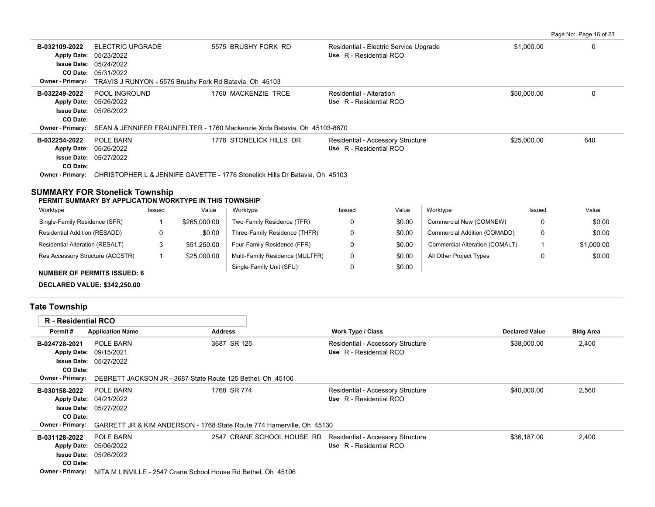| B-032109-2022           | ELECTRIC UPGRADE<br>Apply Date: 05/23/2022              | 5575 BRUSHY FORK RD                                                                       | Residential - Electric Service Upgrade<br>Use R - Residential RCO | \$1,000.00  | 0   |
|-------------------------|---------------------------------------------------------|-------------------------------------------------------------------------------------------|-------------------------------------------------------------------|-------------|-----|
|                         | <b>Issue Date: 05/24/2022</b>                           |                                                                                           |                                                                   |             |     |
|                         | <b>CO Date: 05/31/2022</b>                              |                                                                                           |                                                                   |             |     |
| <b>Owner - Primary:</b> | TRAVIS J RUNYON - 5575 Brushy Fork Rd Batavia, Oh 45103 |                                                                                           |                                                                   |             |     |
| B-032249-2022           | POOL INGROUND                                           | 1760 MACKENZIE TRCE                                                                       | Residential - Alteration                                          | \$50,000.00 | 0   |
|                         | Apply Date: 05/26/2022                                  |                                                                                           | Use R - Residential RCO                                           |             |     |
|                         | <b>Issue Date: 05/26/2022</b>                           |                                                                                           |                                                                   |             |     |
| CO Date:                |                                                         |                                                                                           |                                                                   |             |     |
|                         |                                                         | Owner - Primary: SEAN & JENNIFER FRAUNFELTER - 1760 Mackenzie Xrds Batavia, Oh 45103-8670 |                                                                   |             |     |
| B-032254-2022           | POLE BARN                                               | 1776 STONELICK HILLS DR                                                                   | Residential - Accessory Structure                                 | \$25,000.00 | 640 |
|                         | Apply Date: 05/26/2022                                  |                                                                                           | Use R - Residential RCO                                           |             |     |
|                         | <b>Issue Date: 05/27/2022</b>                           |                                                                                           |                                                                   |             |     |
| CO Date:                |                                                         |                                                                                           |                                                                   |             |     |
| <b>Owner - Primary:</b> |                                                         | CHRISTOPHER L & JENNIFE GAVETTE - 1776 Stonelick Hills Dr Batavia, Oh 45103               |                                                                   |             |     |
|                         |                                                         |                                                                                           |                                                                   |             |     |

#### **SUMMARY FOR Stonelick Township**

#### **PERMIT SUMMARY BY APPLICATION WORKTYPE IN THIS TOWNSHIP**

| Worktype                           | Issued | Value        | Worktype                        | Issued | Value  | Worktype                       | Issued | Value      |
|------------------------------------|--------|--------------|---------------------------------|--------|--------|--------------------------------|--------|------------|
| Single-Family Residence (SFR)      |        | \$265,000.00 | Two-Family Residence (TFR)      |        | \$0.00 | Commercial New (COMNEW)        |        | \$0.00     |
| Residential Addition (RESADD)      |        | \$0.00       | Three-Family Residence (THFR)   |        | \$0.00 | Commercial Addition (COMADD)   |        | \$0.00     |
| Residential Alteration (RESALT)    |        | \$51.250.00  | Four-Family Residence (FFR)     |        | \$0.00 | Commercial Alteration (COMALT) |        | \$1,000.00 |
| Res Accessory Structure (ACCSTR)   |        | \$25,000.00  | Multi-Family Residence (MULTFR) |        | \$0.00 | All Other Project Types        |        | \$0.00     |
| <b>NUMBER OF PERMITS ISSUED: 6</b> |        |              | Single-Family Unit (SFU)        |        | \$0.00 |                                |        |            |

**DECLARED VALUE: \$342,250.00**

# **Tate Township**

| <b>R</b> - Residential RCO |                               |                                                                                               |                                                                 |                       |                  |
|----------------------------|-------------------------------|-----------------------------------------------------------------------------------------------|-----------------------------------------------------------------|-----------------------|------------------|
| Permit#                    | <b>Application Name</b>       | <b>Address</b>                                                                                | Work Type / Class                                               | <b>Declared Value</b> | <b>Bldg Area</b> |
| B-024728-2021              | POLE BARN                     | 3687 SR 125                                                                                   | Residential - Accessory Structure                               | \$38,000.00           | 2,400            |
|                            | Apply Date: 09/15/2021        |                                                                                               | Use R - Residential RCO                                         |                       |                  |
|                            | <b>Issue Date: 05/27/2022</b> |                                                                                               |                                                                 |                       |                  |
| CO Date:                   |                               |                                                                                               |                                                                 |                       |                  |
|                            |                               | <b>Owner - Primary:</b> DEBRETT JACKSON JR - 3687 State Route 125 Bethel. Oh 45106            |                                                                 |                       |                  |
| B-030158-2022              | POLE BARN                     | 1768 SR 774                                                                                   | Residential - Accessory Structure                               | \$40,000.00           | 2,560            |
|                            | Apply Date: 04/21/2022        |                                                                                               | Use R - Residential RCO                                         |                       |                  |
|                            | <b>Issue Date: 05/27/2022</b> |                                                                                               |                                                                 |                       |                  |
| CO Date:                   |                               |                                                                                               |                                                                 |                       |                  |
|                            |                               | <b>Owner - Primary:</b> GARRETT JR & KIM ANDERSON - 1768 State Route 774 Hamerville, Oh 45130 |                                                                 |                       |                  |
| B-031128-2022              | POLE BARN                     |                                                                                               | 2547 CRANE SCHOOL HOUSE RD<br>Residential - Accessory Structure | \$36.187.00           | 2,400            |
|                            | Apply Date: 05/06/2022        |                                                                                               | Use R - Residential RCO                                         |                       |                  |
|                            | <b>Issue Date: 05/26/2022</b> |                                                                                               |                                                                 |                       |                  |
| CO Date:                   |                               |                                                                                               |                                                                 |                       |                  |
|                            |                               | Owner - Primary: NITA M LINVILLE - 2547 Crane School House Rd Bethel, Oh 45106                |                                                                 |                       |                  |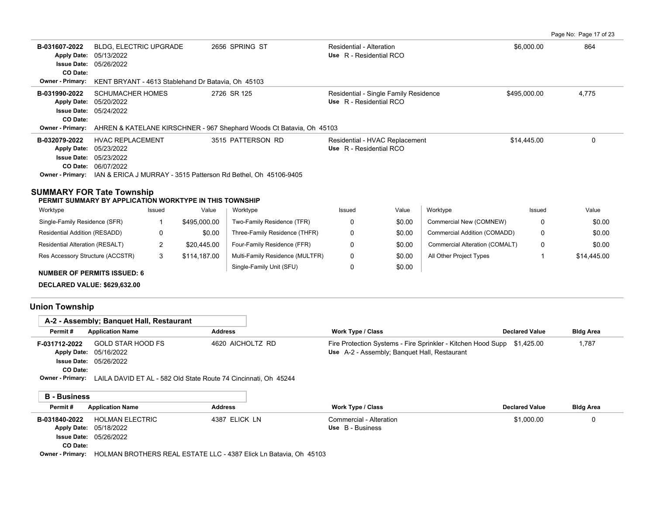Page No: Page 17 of 23

| B-031607-2022      | <b>BLDG, ELECTRIC UPGRADE</b><br>Apply Date: 05/13/2022<br><b>Issue Date: 05/26/2022</b> | 2656 SPRING ST    | Residential - Alteration<br>Use R - Residential RCO | \$6,000.00   | 864   |
|--------------------|------------------------------------------------------------------------------------------|-------------------|-----------------------------------------------------|--------------|-------|
| CO Date:           |                                                                                          |                   |                                                     |              |       |
|                    | Owner - Primary: KENT BRYANT - 4613 Stablehand Dr Batavia, Oh 45103                      |                   |                                                     |              |       |
| B-031990-2022      | <b>SCHUMACHER HOMES</b>                                                                  | 2726 SR 125       | Residential - Single Family Residence               | \$495,000.00 | 4,775 |
|                    | Apply Date: 05/20/2022                                                                   |                   | Use R - Residential RCO                             |              |       |
|                    | <b>Issue Date: 05/24/2022</b>                                                            |                   |                                                     |              |       |
| CO Date:           |                                                                                          |                   |                                                     |              |       |
|                    | Owner - Primary: AHREN & KATELANE KIRSCHNER - 967 Shephard Woods Ct Batavia, Oh 45103    |                   |                                                     |              |       |
| B-032079-2022      | <b>HVAC REPLACEMENT</b>                                                                  | 3515 PATTERSON RD | Residential - HVAC Replacement                      | \$14,445.00  |       |
|                    | Apply Date: 05/23/2022                                                                   |                   | Use R - Residential RCO                             |              |       |
| <b>Issue Date:</b> | 05/23/2022                                                                               |                   |                                                     |              |       |
|                    |                                                                                          |                   |                                                     |              |       |
|                    | CO Date: 06/07/2022                                                                      |                   |                                                     |              |       |

| Worktype                           | Issued | Value        | Worktype                        | Issued | Value  | Worktype                       | Issued | Value       |
|------------------------------------|--------|--------------|---------------------------------|--------|--------|--------------------------------|--------|-------------|
| Single-Family Residence (SFR)      |        | \$495,000.00 | Two-Family Residence (TFR)      |        | \$0.00 | Commercial New (COMNEW)        |        | \$0.00      |
| Residential Addition (RESADD)      | 0      | \$0.00       | Three-Family Residence (THFR)   |        | \$0.00 | Commercial Addition (COMADD)   |        | \$0.00      |
| Residential Alteration (RESALT)    |        | \$20.445.00  | Four-Family Residence (FFR)     |        | \$0.00 | Commercial Alteration (COMALT) |        | \$0.00      |
| Res Accessory Structure (ACCSTR)   | 3      | \$114,187.00 | Multi-Family Residence (MULTFR) |        | \$0.00 | All Other Project Types        |        | \$14,445.00 |
| <b>NUMBER OF PERMITS ISSUED: 6</b> |        |              | Single-Family Unit (SFU)        |        | \$0.00 |                                |        |             |

**DECLARED VALUE: \$629,632.00**

# **Union Township**

|                                                                       | A-2 - Assembly; Banguet Hall, Restaurant           |                                                                                                             |                                                                                                                         |                       |                  |
|-----------------------------------------------------------------------|----------------------------------------------------|-------------------------------------------------------------------------------------------------------------|-------------------------------------------------------------------------------------------------------------------------|-----------------------|------------------|
| Permit#                                                               | <b>Application Name</b>                            | <b>Address</b>                                                                                              | <b>Work Type / Class</b>                                                                                                | <b>Declared Value</b> | <b>Bldg Area</b> |
| F-031712-2022<br><b>Apply Date:</b><br><b>Issue Date:</b><br>CO Date: | GOLD STAR HOOD FS<br>05/16/2022<br>05/26/2022      | 4620 AICHOLTZ RD<br><b>Owner - Primary:</b> LAILA DAVID ET AL - 582 Old State Route 74 Cincinnati, Oh 45244 | Fire Protection Systems - Fire Sprinkler - Kitchen Hood Supp \$1,425.00<br>Use A-2 - Assembly; Banquet Hall, Restaurant |                       | 1,787            |
|                                                                       |                                                    |                                                                                                             |                                                                                                                         |                       |                  |
| <b>B</b> - Business                                                   |                                                    |                                                                                                             |                                                                                                                         |                       |                  |
| Permit#                                                               | <b>Application Name</b>                            | <b>Address</b>                                                                                              | <b>Work Type / Class</b>                                                                                                | <b>Declared Value</b> | <b>Bldg Area</b> |
| B-031840-2022<br><b>Apply Date:</b><br><b>Issue Date:</b><br>CO Date: | <b>HOLMAN ELECTRIC</b><br>05/18/2022<br>05/26/2022 | 4387 ELICK LN                                                                                               | Commercial - Alteration<br>Use B - Business                                                                             | \$1,000.00            | 0                |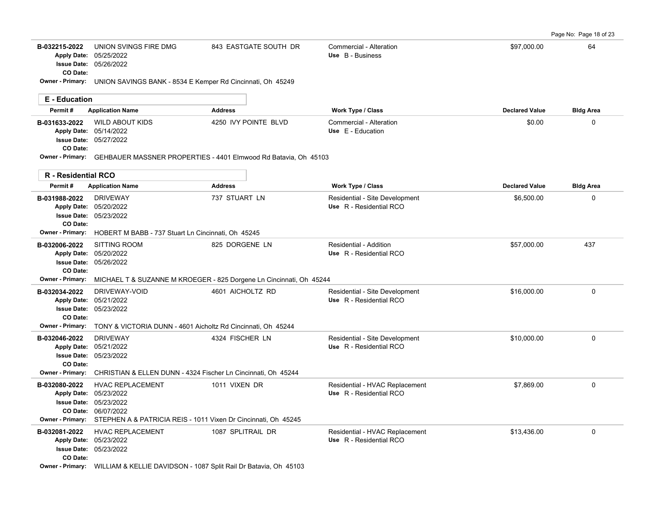Page No: Page 18 of 23

| B-032215-2022<br>CO Date:        | UNION SVINGS FIRE DMG<br>Apply Date: 05/25/2022<br>Issue Date: 05/26/2022                                                                                                                    | 843 EASTGATE SOUTH DR | Commercial - Alteration<br>Use B - Business               | \$97,000.00           | 64               |
|----------------------------------|----------------------------------------------------------------------------------------------------------------------------------------------------------------------------------------------|-----------------------|-----------------------------------------------------------|-----------------------|------------------|
|                                  | Owner - Primary: UNION SAVINGS BANK - 8534 E Kemper Rd Cincinnati, Oh 45249                                                                                                                  |                       |                                                           |                       |                  |
| <b>E</b> - Education             |                                                                                                                                                                                              |                       |                                                           |                       |                  |
| Permit#                          | <b>Application Name</b>                                                                                                                                                                      | <b>Address</b>        | Work Type / Class                                         | <b>Declared Value</b> | <b>Bldg Area</b> |
| B-031633-2022<br>CO Date:        | <b>WILD ABOUT KIDS</b><br>Apply Date: 05/14/2022<br><b>Issue Date: 05/27/2022</b>                                                                                                            | 4250 IVY POINTE BLVD  | Commercial - Alteration<br>Use E - Education              | \$0.00                | 0                |
|                                  | Owner - Primary: GEHBAUER MASSNER PROPERTIES - 4401 Elmwood Rd Batavia, Oh 45103                                                                                                             |                       |                                                           |                       |                  |
| R - Residential RCO              |                                                                                                                                                                                              |                       |                                                           |                       |                  |
| Permit#                          | <b>Application Name</b>                                                                                                                                                                      | <b>Address</b>        | Work Type / Class                                         | <b>Declared Value</b> | <b>Bldg Area</b> |
| B-031988-2022<br>CO Date:        | <b>DRIVEWAY</b><br>Apply Date: 05/20/2022<br>Issue Date: 05/23/2022                                                                                                                          | 737 STUART LN         | Residential - Site Development<br>Use R - Residential RCO | \$6,500.00            | 0                |
| <b>Owner - Primary:</b>          | HOBERT M BABB - 737 Stuart Ln Cincinnati, Oh 45245                                                                                                                                           |                       |                                                           |                       |                  |
| B-032006-2022<br>CO Date:        | <b>SITTING ROOM</b><br>Apply Date: 05/20/2022<br><b>Issue Date: 05/26/2022</b>                                                                                                               | 825 DORGENE LN        | Residential - Addition<br>Use R - Residential RCO         | \$57,000.00           | 437              |
| Owner - Primary:                 | MICHAEL T & SUZANNE M KROEGER - 825 Dorgene Ln Cincinnati, Oh 45244                                                                                                                          |                       |                                                           |                       |                  |
| B-032034-2022<br><b>CO</b> Date: | DRIVEWAY-VOID<br>Apply Date: 05/21/2022<br><b>Issue Date: 05/23/2022</b>                                                                                                                     | 4601 AICHOLTZ RD      | Residential - Site Development<br>Use R - Residential RCO | \$16,000.00           | 0                |
|                                  | <b>Owner - Primary:</b> TONY & VICTORIA DUNN - 4601 Aicholtz Rd Cincinnati, Oh 45244                                                                                                         |                       |                                                           |                       |                  |
| B-032046-2022<br>CO Date:        | <b>DRIVEWAY</b><br>Apply Date: 05/21/2022<br><b>Issue Date: 05/23/2022</b>                                                                                                                   | 4324 FISCHER LN       | Residential - Site Development<br>Use R - Residential RCO | \$10,000.00           | $\Omega$         |
| Owner - Primary:                 | CHRISTIAN & ELLEN DUNN - 4324 Fischer Ln Cincinnati, Oh 45244                                                                                                                                |                       |                                                           |                       |                  |
| B-032080-2022                    | <b>HVAC REPLACEMENT</b><br>Apply Date: 05/23/2022<br><b>Issue Date: 05/23/2022</b><br>CO Date: 06/07/2022<br>Owner - Primary: STEPHEN A & PATRICIA REIS - 1011 Vixen Dr Cincinnati, Oh 45245 | 1011 VIXEN DR         | Residential - HVAC Replacement<br>Use R - Residential RCO | \$7,869.00            | 0                |
| B-032081-2022<br>CO Date:        | HVAC REPLACEMENT<br>Apply Date: 05/23/2022<br><b>Issue Date: 05/23/2022</b><br>Owner - Primary: WILLIAM & KELLIE DAVIDSON - 1087 Split Rail Dr Batavia, Oh 45103                             | 1087 SPLITRAIL DR     | Residential - HVAC Replacement<br>Use R - Residential RCO | \$13,436.00           | 0                |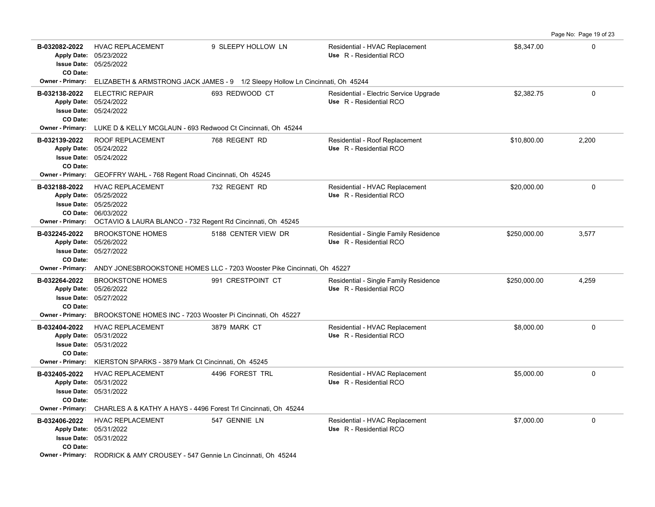| B-032082-2022<br>CO Date: | <b>HVAC REPLACEMENT</b><br>Apply Date: 05/23/2022<br><b>Issue Date: 05/25/2022</b>                                                                                                 | 9 SLEEPY HOLLOW LN  | Residential - HVAC Replacement<br>Use R - Residential RCO         | \$8,347.00   | $\mathbf 0$ |
|---------------------------|------------------------------------------------------------------------------------------------------------------------------------------------------------------------------------|---------------------|-------------------------------------------------------------------|--------------|-------------|
|                           | Owner - Primary: ELIZABETH & ARMSTRONG JACK JAMES - 9 1/2 Sleepy Hollow Ln Cincinnati, Oh 45244                                                                                    |                     |                                                                   |              |             |
| B-032138-2022<br>CO Date: | <b>ELECTRIC REPAIR</b><br>Apply Date: 05/24/2022<br>Issue Date: 05/24/2022                                                                                                         | 693 REDWOOD CT      | Residential - Electric Service Upgrade<br>Use R - Residential RCO | \$2.382.75   | $\mathbf 0$ |
|                           | Owner - Primary: LUKE D & KELLY MCGLAUN - 693 Redwood Ct Cincinnati, Oh 45244                                                                                                      |                     |                                                                   |              |             |
| B-032139-2022<br>CO Date: | ROOF REPLACEMENT<br>Apply Date: 05/24/2022<br><b>Issue Date: 05/24/2022</b>                                                                                                        | 768 REGENT RD       | Residential - Roof Replacement<br>Use R - Residential RCO         | \$10,800.00  | 2,200       |
|                           | Owner - Primary: GEOFFRY WAHL - 768 Regent Road Cincinnati, Oh 45245                                                                                                               |                     |                                                                   |              |             |
| B-032188-2022             | HVAC REPLACEMENT<br>Apply Date: 05/25/2022<br><b>Issue Date: 05/25/2022</b><br>CO Date: 06/03/2022<br>Owner - Primary: OCTAVIO & LAURA BLANCO - 732 Regent Rd Cincinnati, Oh 45245 | 732 REGENT RD       | Residential - HVAC Replacement<br>Use R - Residential RCO         | \$20,000.00  | 0           |
| B-032245-2022<br>CO Date: | <b>BROOKSTONE HOMES</b><br>Apply Date: 05/26/2022<br><b>Issue Date: 05/27/2022</b><br>Owner - Primary: ANDY JONESBROOKSTONE HOMES LLC - 7203 Wooster Pike Cincinnati, Oh 45227     | 5188 CENTER VIEW DR | Residential - Single Family Residence<br>Use R - Residential RCO  | \$250,000.00 | 3,577       |
| B-032264-2022<br>CO Date: | <b>BROOKSTONE HOMES</b><br>Apply Date: 05/26/2022<br><b>Issue Date: 05/27/2022</b>                                                                                                 | 991 CRESTPOINT CT   | Residential - Single Family Residence<br>Use R - Residential RCO  | \$250,000.00 | 4,259       |
| B-032404-2022<br>CO Date: | Owner - Primary: BROOKSTONE HOMES INC - 7203 Wooster Pi Cincinnati, Oh 45227<br><b>HVAC REPLACEMENT</b><br>Apply Date: 05/31/2022<br><b>Issue Date: 05/31/2022</b>                 | 3879 MARK CT        | Residential - HVAC Replacement<br>Use R - Residential RCO         | \$8,000.00   | 0           |
|                           | Owner - Primary: KIERSTON SPARKS - 3879 Mark Ct Cincinnati, Oh 45245                                                                                                               |                     |                                                                   |              |             |
| B-032405-2022<br>CO Date: | <b>HVAC REPLACEMENT</b><br>Apply Date: 05/31/2022<br>Issue Date: 05/31/2022                                                                                                        | 4496 FOREST TRL     | Residential - HVAC Replacement<br>Use R - Residential RCO         | \$5,000.00   | $\mathbf 0$ |
|                           | Owner - Primary: CHARLES A & KATHY A HAYS - 4496 Forest Trl Cincinnati, Oh 45244                                                                                                   |                     |                                                                   |              |             |
| B-032406-2022<br>CO Date: | <b>HVAC REPLACEMENT</b><br>Apply Date: 05/31/2022<br><b>Issue Date: 05/31/2022</b>                                                                                                 | 547 GENNIE LN       | Residential - HVAC Replacement<br>Use R - Residential RCO         | \$7,000.00   | $\mathbf 0$ |
|                           | Owner - Primary: RODRICK & AMY CROUSEY - 547 Gennie Ln Cincinnati, Oh 45244                                                                                                        |                     |                                                                   |              |             |

Page No: Page 19 of 23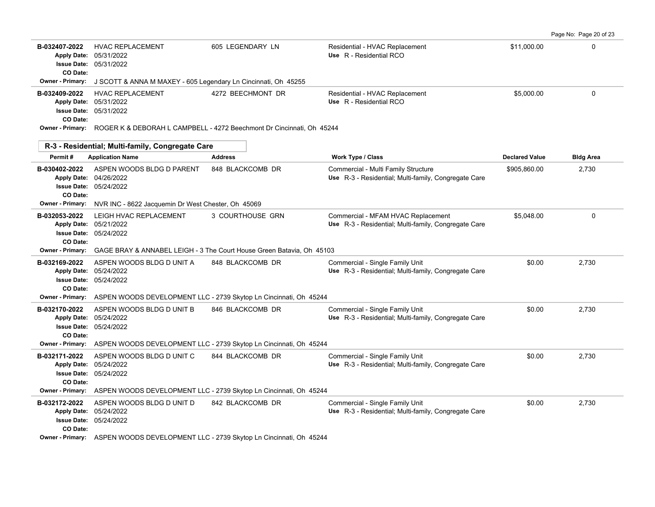| B-032407-2022<br>CO Date: | <b>HVAC REPLACEMENT</b><br>Apply Date: 05/31/2022<br><b>Issue Date: 05/31/2022</b>   | 605 LEGENDARY LN                                                                              | Residential - HVAC Replacement<br>Use R - Residential RCO                                   | \$11,000.00           | $\Omega$         |
|---------------------------|--------------------------------------------------------------------------------------|-----------------------------------------------------------------------------------------------|---------------------------------------------------------------------------------------------|-----------------------|------------------|
|                           | Owner - Primary: J SCOTT & ANNA M MAXEY - 605 Legendary Ln Cincinnati, Oh 45255      |                                                                                               |                                                                                             |                       |                  |
| B-032409-2022<br>CO Date: | <b>HVAC REPLACEMENT</b><br>Apply Date: 05/31/2022<br>Issue Date: 05/31/2022          | 4272 BEECHMONT DR                                                                             | Residential - HVAC Replacement<br>Use R - Residential RCO                                   | \$5,000.00            | $\Omega$         |
|                           |                                                                                      | <b>Owner - Primary:</b> ROGER K & DEBORAH L CAMPBELL - 4272 Beechmont Dr Cincinnati, Oh 45244 |                                                                                             |                       |                  |
|                           | R-3 - Residential; Multi-family, Congregate Care                                     |                                                                                               |                                                                                             |                       |                  |
| Permit#                   | <b>Application Name</b>                                                              | <b>Address</b>                                                                                | Work Type / Class                                                                           | <b>Declared Value</b> | <b>Bldg Area</b> |
| B-030402-2022<br>CO Date: | ASPEN WOODS BLDG D PARENT<br>Apply Date: 04/26/2022<br>Issue Date: 05/24/2022        | 848 BLACKCOMB DR                                                                              | Commercial - Multi Family Structure<br>Use R-3 - Residential: Multi-family, Congregate Care | \$905,860.00          | 2,730            |
| Owner - Primary:          | NVR INC - 8622 Jacquemin Dr West Chester, Oh 45069                                   |                                                                                               |                                                                                             |                       |                  |
| B-032053-2022<br>CO Date: | LEIGH HVAC REPLACEMENT<br>Apply Date: 05/21/2022<br><b>Issue Date: 05/24/2022</b>    | 3 COURTHOUSE GRN                                                                              | Commercial - MFAM HVAC Replacement<br>Use R-3 - Residential; Multi-family, Congregate Care  | \$5.048.00            | $\Omega$         |
| <b>Owner - Primary:</b>   |                                                                                      | GAGE BRAY & ANNABEL LEIGH - 3 The Court House Green Batavia, Oh 45103                         |                                                                                             |                       |                  |
| B-032169-2022<br>CO Date: | ASPEN WOODS BLDG D UNIT A<br>Apply Date: 05/24/2022<br><b>Issue Date: 05/24/2022</b> | 848 BLACKCOMB DR                                                                              | Commercial - Single Family Unit<br>Use R-3 - Residential; Multi-family, Congregate Care     | \$0.00                | 2,730            |
| Owner - Primary:          |                                                                                      | ASPEN WOODS DEVELOPMENT LLC - 2739 Skytop Ln Cincinnati, Oh 45244                             |                                                                                             |                       |                  |
| B-032170-2022<br>CO Date: | ASPEN WOODS BLDG D UNIT B<br>Apply Date: 05/24/2022<br><b>Issue Date: 05/24/2022</b> | 846 BLACKCOMB DR                                                                              | Commercial - Single Family Unit<br>Use R-3 - Residential; Multi-family, Congregate Care     | \$0.00                | 2,730            |
| Owner - Primary:          |                                                                                      | ASPEN WOODS DEVELOPMENT LLC - 2739 Skytop Ln Cincinnati, Oh 45244                             |                                                                                             |                       |                  |
| B-032171-2022<br>CO Date: | ASPEN WOODS BLDG D UNIT C<br>Apply Date: 05/24/2022<br><b>Issue Date: 05/24/2022</b> | 844 BLACKCOMB DR                                                                              | Commercial - Single Family Unit<br>Use R-3 - Residential; Multi-family, Congregate Care     | \$0.00                | 2.730            |
|                           |                                                                                      | Owner - Primary: ASPEN WOODS DEVELOPMENT LLC - 2739 Skytop Ln Cincinnati, Oh 45244            |                                                                                             |                       |                  |
| B-032172-2022<br>CO Date: | ASPEN WOODS BLDG D UNIT D<br>Apply Date: 05/24/2022<br><b>Issue Date: 05/24/2022</b> | 842 BLACKCOMB DR                                                                              | Commercial - Single Family Unit<br>Use R-3 - Residential; Multi-family, Congregate Care     | \$0.00                | 2,730            |
|                           |                                                                                      | Owner - Primary: ASPEN WOODS DEVELOPMENT LLC - 2739 Skytop Ln Cincinnati, Oh 45244            |                                                                                             |                       |                  |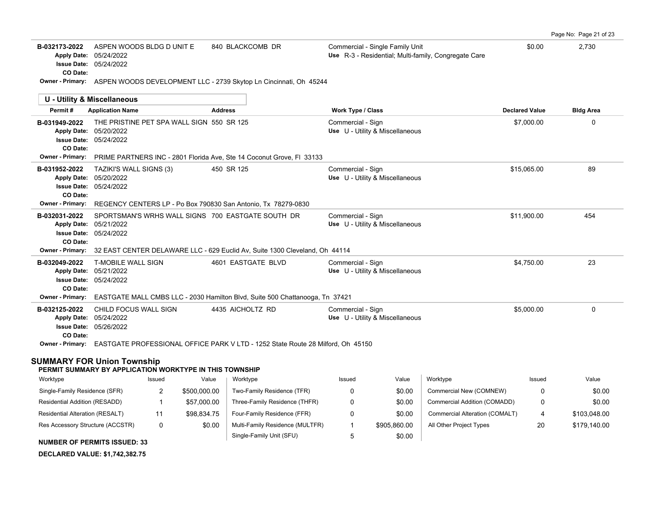| Page No: Page 21 of 23 |  |  |
|------------------------|--|--|
|------------------------|--|--|

| B-032173-2022      | ASPEN WOODS BLDG D UNIT E                                                          | 840 BLACKCOMB DR | Commercial - Single Family Unit                      | \$0.00                | 2,730            |
|--------------------|------------------------------------------------------------------------------------|------------------|------------------------------------------------------|-----------------------|------------------|
| <b>Apply Date:</b> | 05/24/2022                                                                         |                  | Use R-3 - Residential: Multi-family, Congregate Care |                       |                  |
|                    | <b>Issue Date: 05/24/2022</b>                                                      |                  |                                                      |                       |                  |
| CO Date:           |                                                                                    |                  |                                                      |                       |                  |
|                    | Owner - Primary: ASPEN WOODS DEVELOPMENT LLC - 2739 Skytop Ln Cincinnati, Oh 45244 |                  |                                                      |                       |                  |
|                    |                                                                                    |                  |                                                      |                       |                  |
|                    |                                                                                    |                  |                                                      |                       |                  |
|                    | U - Utility & Miscellaneous                                                        |                  |                                                      |                       |                  |
| Permit#            | <b>Application Name</b>                                                            | <b>Address</b>   | <b>Work Type / Class</b>                             | <b>Declared Value</b> | <b>Bldg Area</b> |
| B-031949-2022      | THE PRISTINE PET SPA WALL SIGN 550 SR 125                                          |                  | Commercial - Sign                                    | \$7,000.00            | $\Omega$         |

| <b>CO</b> Date:         | <b>Issue Date: 05/24/2022</b>                                                                        |                    |                                 |             |          |
|-------------------------|------------------------------------------------------------------------------------------------------|--------------------|---------------------------------|-------------|----------|
| <b>Owner - Primary:</b> | PRIME PARTNERS INC - 2801 Florida Ave, Ste 14 Coconut Grove, FI 33133                                |                    |                                 |             |          |
| B-031952-2022           | TAZIKI'S WALL SIGNS (3)                                                                              | 450 SR 125         | Commercial - Sign               | \$15,065.00 | 89       |
|                         | Apply Date: 05/20/2022                                                                               |                    | Use U - Utility & Miscellaneous |             |          |
|                         | <b>Issue Date: 05/24/2022</b>                                                                        |                    |                                 |             |          |
| CO Date:                |                                                                                                      |                    |                                 |             |          |
|                         | Owner - Primary: REGENCY CENTERS LP - Po Box 790830 San Antonio, Tx 78279-0830                       |                    |                                 |             |          |
| B-032031-2022           | SPORTSMAN'S WRHS WALL SIGNS 700 EASTGATE SOUTH DR                                                    |                    | Commercial - Sign               | \$11,900.00 | 454      |
|                         | Apply Date: 05/21/2022                                                                               |                    | Use U - Utility & Miscellaneous |             |          |
|                         | <b>Issue Date: 05/24/2022</b>                                                                        |                    |                                 |             |          |
| CO Date:                |                                                                                                      |                    |                                 |             |          |
|                         | Owner - Primary: 32 EAST CENTER DELAWARE LLC - 629 Euclid Av, Suite 1300 Cleveland, Oh 44114         |                    |                                 |             |          |
| B-032049-2022           | T-MOBILE WALL SIGN                                                                                   | 4601 EASTGATE BLVD | Commercial - Sign               | \$4,750.00  | 23       |
|                         | Apply Date: 05/21/2022                                                                               |                    | Use U - Utility & Miscellaneous |             |          |
|                         | <b>Issue Date: 05/24/2022</b>                                                                        |                    |                                 |             |          |
| CO Date:                |                                                                                                      |                    |                                 |             |          |
|                         | <b>Owner - Primary:</b> EASTGATE MALL CMBS LLC - 2030 Hamilton Blvd, Suite 500 Chattanooga, Tn 37421 |                    |                                 |             |          |
| B-032125-2022           | CHILD FOCUS WALL SIGN                                                                                | 4435 AICHOLTZ RD   | Commercial - Sign               | \$5,000.00  | $\Omega$ |
|                         | Apply Date: 05/24/2022                                                                               |                    | Use U - Utility & Miscellaneous |             |          |
|                         | <b>Issue Date: 05/26/2022</b>                                                                        |                    |                                 |             |          |
| CO Date:                |                                                                                                      |                    |                                 |             |          |
|                         | Owner - Primary: EASTGATE PROFESSIONAL OFFICE PARK V LTD - 1252 State Route 28 Milford, Oh 45150     |                    |                                 |             |          |
|                         |                                                                                                      |                    |                                 |             |          |

#### **SUMMARY FOR Union Township**

#### **PERMIT SUMMARY BY APPLICATION WORKTYPE IN THIS TOWNSHIP**

| Worktype                         | Issued | Value        | Worktype                        | Issued | Value        | Worktype                       | Issued | Value        |
|----------------------------------|--------|--------------|---------------------------------|--------|--------------|--------------------------------|--------|--------------|
| Single-Family Residence (SFR)    |        | \$500,000.00 | Two-Family Residence (TFR)      |        | \$0.00       | Commercial New (COMNEW)        |        | \$0.00       |
| Residential Addition (RESADD)    |        | \$57,000.00  | Three-Family Residence (THFR)   |        | \$0.00       | Commercial Addition (COMADD)   |        | \$0.00       |
| Residential Alteration (RESALT)  |        | \$98.834.75  | Four-Family Residence (FFR)     |        | \$0.00       | Commercial Alteration (COMALT) | 4      | \$103.048.00 |
| Res Accessory Structure (ACCSTR) | 0      | \$0.00       | Multi-Family Residence (MULTFR) |        | \$905.860.00 | All Other Project Types        | 20     | \$179,140.00 |
| $\ddot{ }$                       |        |              | Single-Family Unit (SFU)        |        | \$0.00       |                                |        |              |

**NUMBER OF PERMITS ISSUED: 33**

**DECLARED VALUE: \$1,742,382.75**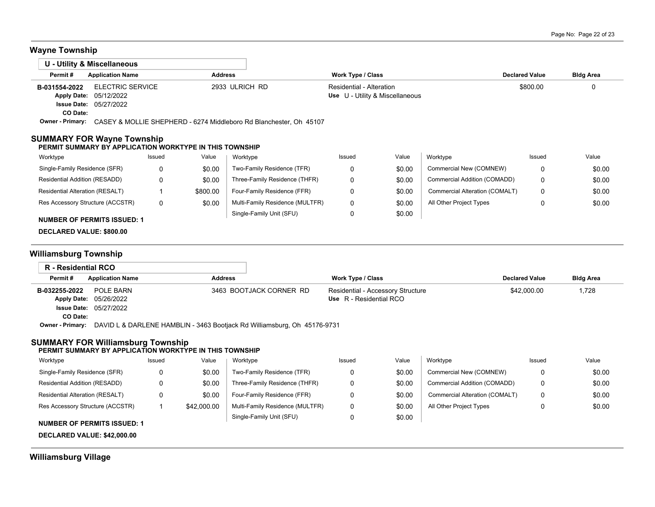# **Wayne Township**

|                           | U - Utility & Miscellaneous                                                        |                |                                                             |                       |                  |
|---------------------------|------------------------------------------------------------------------------------|----------------|-------------------------------------------------------------|-----------------------|------------------|
| Permit#                   | <b>Application Name</b>                                                            | <b>Address</b> | Work Type / Class                                           | <b>Declared Value</b> | <b>Bldg Area</b> |
| B-031554-2022<br>CO Date: | <b>ELECTRIC SERVICE</b><br>Apply Date: 05/12/2022<br><b>Issue Date: 05/27/2022</b> | 2933 ULRICH RD | Residential - Alteration<br>Use U - Utility & Miscellaneous | \$800.00              | 0                |
| Owner - Primary:          | CASEY & MOLLIE SHEPHERD - 6274 Middleboro Rd Blanchester, Oh 45107                 |                |                                                             |                       |                  |

#### **SUMMARY FOR Wayne Township PERMIT SUMMARY BY APPLICATION WORKTYPE IN THIS TOWNSHIP**

| Value<br>Value<br>Worktype<br>Worktype<br>Worktype<br>Issued<br>Issued<br>Issued                                            | Value  |
|-----------------------------------------------------------------------------------------------------------------------------|--------|
| Single-Family Residence (SFR)<br>\$0.00<br>Two-Family Residence (TFR)<br>Commercial New (COMNEW)<br>\$0.00                  | \$0.00 |
| Three-Family Residence (THFR)<br>Residential Addition (RESADD)<br>Commercial Addition (COMADD)<br>\$0.00<br>\$0.00          | \$0.00 |
| Residential Alteration (RESALT)<br>Four-Family Residence (FFR)<br>Commercial Alteration (COMALT)<br>\$0.00<br>\$800.00<br>0 | \$0.00 |
| Multi-Family Residence (MULTFR)<br>All Other Project Types<br>Res Accessory Structure (ACCSTR)<br>\$0.00<br>\$0.00          | \$0.00 |
| \$0.00<br>Single-Family Unit (SFU)<br><b>NUMBER OF PERMITS ISSUED: 1</b>                                                    |        |

### **DECLARED VALUE: \$800.00**

### **Williamsburg Township**

| R - Residential RCO     |                                                                          |                         |                                   |                       |                  |
|-------------------------|--------------------------------------------------------------------------|-------------------------|-----------------------------------|-----------------------|------------------|
| Permit#                 | <b>Application Name</b>                                                  | <b>Address</b>          | Work Type / Class                 | <b>Declared Value</b> | <b>Bldg Area</b> |
| B-032255-2022           | POLE BARN                                                                | 3463 BOOTJACK CORNER RD | Residential - Accessory Structure | \$42,000.00           | 1,728            |
|                         | Apply Date: 05/26/2022                                                   |                         | Use R - Residential RCO           |                       |                  |
|                         | <b>Issue Date: 05/27/2022</b>                                            |                         |                                   |                       |                  |
| CO Date:                |                                                                          |                         |                                   |                       |                  |
| <b>Owner - Primary:</b> | DAVID L & DARLENE HAMBLIN - 3463 Bootjack Rd Williamsburg, Oh 45176-9731 |                         |                                   |                       |                  |

#### **SUMMARY FOR Williamsburg Township**

#### **PERMIT SUMMARY BY APPLICATION WORKTYPE IN THIS TOWNSHIP**

| Worktype                           | Issued | Value       | Worktype                        | Issued | Value  | Worktype                       | Issued | Value  |
|------------------------------------|--------|-------------|---------------------------------|--------|--------|--------------------------------|--------|--------|
| Single-Family Residence (SFR)      |        | \$0.00      | Two-Family Residence (TFR)      |        | \$0.00 | Commercial New (COMNEW)        |        | \$0.00 |
| Residential Addition (RESADD)      |        | \$0.00      | Three-Family Residence (THFR)   |        | \$0.00 | Commercial Addition (COMADD)   |        | \$0.00 |
| Residential Alteration (RESALT)    |        | \$0.00      | Four-Family Residence (FFR)     |        | \$0.00 | Commercial Alteration (COMALT) |        | \$0.00 |
| Res Accessory Structure (ACCSTR)   |        | \$42,000.00 | Multi-Family Residence (MULTFR) |        | \$0.00 | All Other Project Types        | u      | \$0.00 |
| <b>NUMBER OF PERMITS ISSUED: 1</b> |        |             | Single-Family Unit (SFU)        |        | \$0.00 |                                |        |        |

**DECLARED VALUE: \$42,000.00**

### **Williamsburg Village**